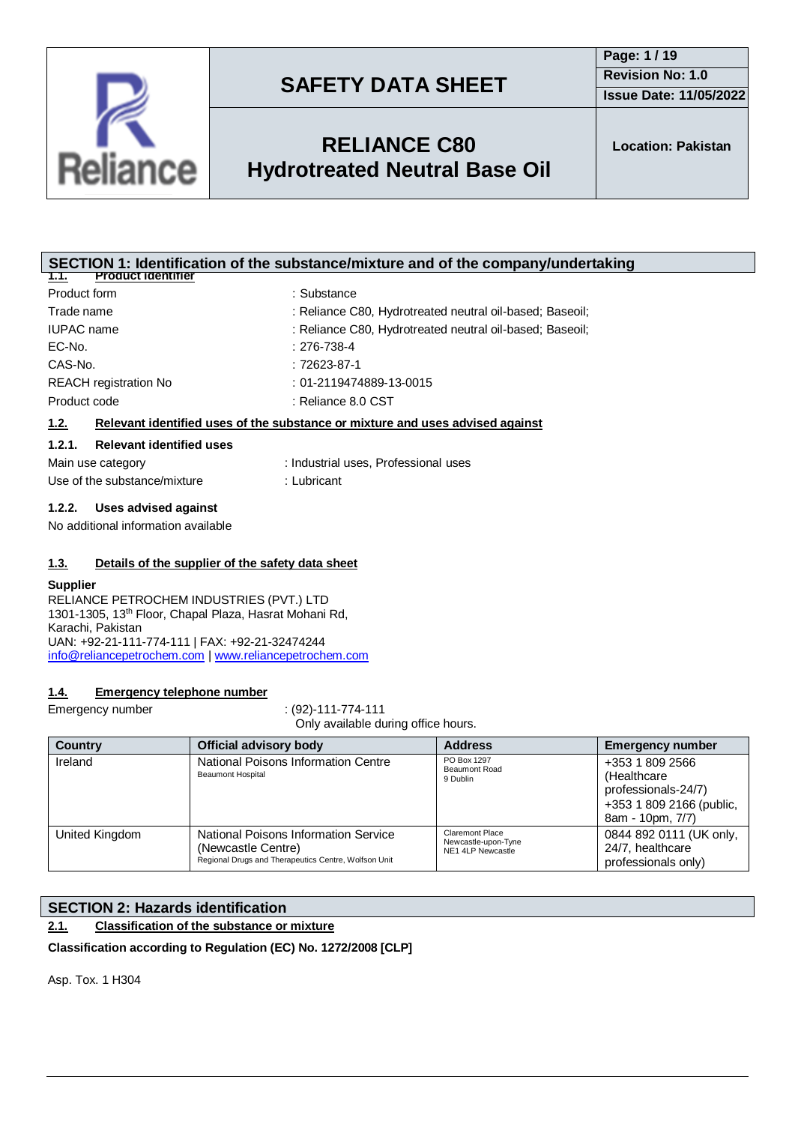

## **RELIANCE C80 Hydrotreated Neutral Base Oil**

**SECTION 1: Identification of the substance/mixture and of the company/undertaking**

| <b>Product identifier</b><br>1.1.                                  |                                                                               |  |
|--------------------------------------------------------------------|-------------------------------------------------------------------------------|--|
| Product form                                                       | : Substance                                                                   |  |
| Trade name                                                         | : Reliance C80, Hydrotreated neutral oil-based; Baseoil;                      |  |
| <b>IUPAC</b> name                                                  | : Reliance C80, Hydrotreated neutral oil-based; Baseoil;                      |  |
| EC-No.                                                             | $: 276 - 738 - 4$                                                             |  |
| CAS-No.                                                            | $:72623-87-1$                                                                 |  |
| <b>REACH registration No</b>                                       | $: 01 - 2119474889 - 13 - 0015$                                               |  |
| Product code                                                       | : Reliance 8.0 CST                                                            |  |
| 1.2.                                                               | Relevant identified uses of the substance or mixture and uses advised against |  |
| 1.2.1.<br><b>Relevant identified uses</b>                          |                                                                               |  |
| Main use category                                                  | : Industrial uses, Professional uses                                          |  |
| Use of the substance/mixture                                       | : Lubricant                                                                   |  |
| Uses advised against<br>1.2.2.                                     |                                                                               |  |
| No additional information available                                |                                                                               |  |
|                                                                    |                                                                               |  |
| Details of the supplier of the safety data sheet<br>1.3.           |                                                                               |  |
| <b>Supplier</b>                                                    |                                                                               |  |
| RELIANCE PETROCHEM INDUSTRIES (PVT.) LTD                           |                                                                               |  |
| 1301-1305, 13 <sup>th</sup> Floor, Chapal Plaza, Hasrat Mohani Rd, |                                                                               |  |
| Karachi, Pakistan                                                  |                                                                               |  |
| UAN: +92-21-111-774-111   FAX: +92-21-32474244                     |                                                                               |  |
| info@reliancepetrochem.com   www.reliancepetrochem.com             |                                                                               |  |
|                                                                    |                                                                               |  |
| <b>Emergency telephone number</b><br>1.4.                          |                                                                               |  |

Emergency number : (92)-111-774-111

Only available during office hours. **Country Official advisory body Address Emergency number** Ireland **National Poisons Information Centre** Beaumont Hospital PO Box 1297 Beaumont Road 9 Dublin +353 1 809 2566 (Healthcare professionals-24/7) +353 1 809 2166 (public, 8am - 10pm, 7/7) United Kingdom | National Poisons Information Service (Newcastle Centre) Regional Drugs and Therapeutics Centre, Wolfson Unit Claremont Place Newcastle-upon-Tyne NE1 4LP Newcastle 0844 892 0111 (UK only, 24/7, healthcare professionals only)

### **SECTION 2: Hazards identification**

### **2.1. Classification of the substance or mixture**

**Classification according to Regulation (EC) No. 1272/2008 [CLP]**

Asp. Tox. 1 H304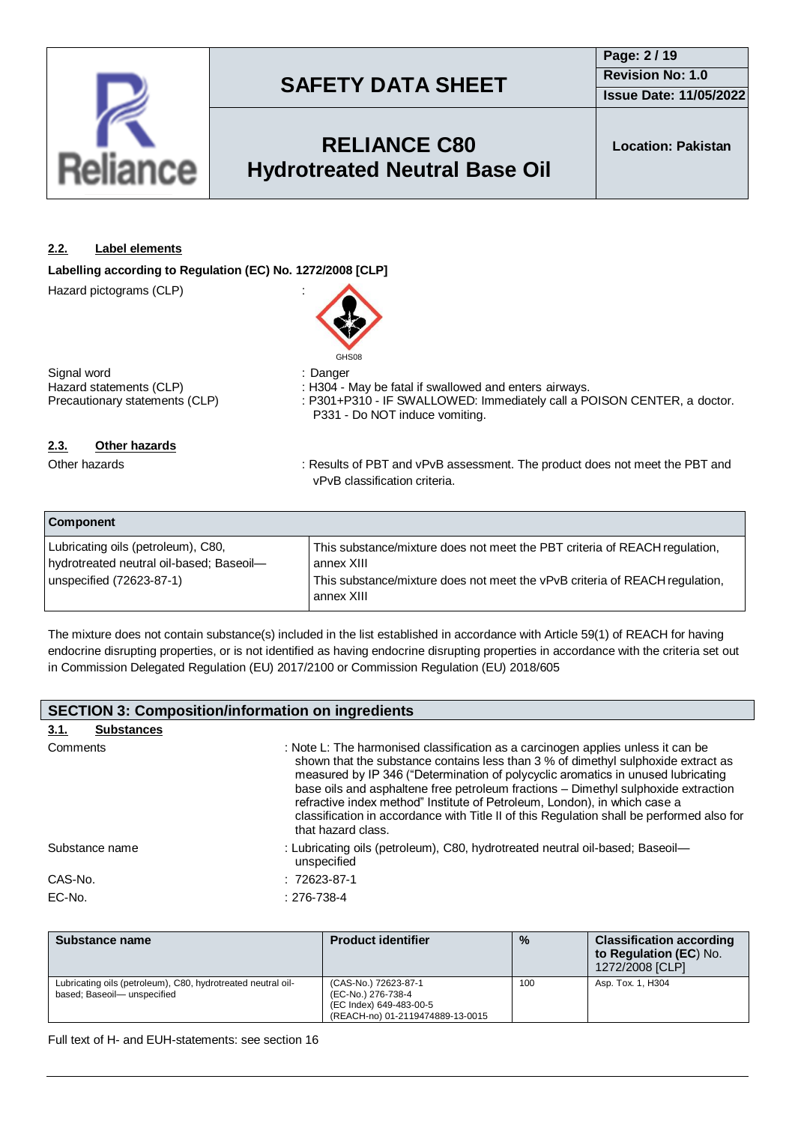

### **RELIANCE C80 Hydrotreated Neutral Base Oil**

**Location: Pakistan**

### **2.2. Label elements**

**Labelling according to Regulation (EC) No. 1272/2008 [CLP]**

Hazard pictograms (CLP) :



Signal word<br>
Hazard statements (CLP) (CLP) : H304 - I

Hazard statements (CLP) : H304 - May be fatal if swallowed and enters airways.<br>Precautionary statements (CLP) : P301+P310 - IF SWALLOWED: Immediately call a P : P301+P310 - IF SWALLOWED: Immediately call a POISON CENTER, a doctor. P331 - Do NOT induce vomiting.

### **2.3. Other hazards**

Other hazards **in the product of PET and vPvB** assessment. The product does not meet the PBT and vPvB classification criteria.

| <b>Component</b>                                                               |                                                                                           |  |  |
|--------------------------------------------------------------------------------|-------------------------------------------------------------------------------------------|--|--|
| Lubricating oils (petroleum), C80,<br>hydrotreated neutral oil-based; Baseoil- | This substance/mixture does not meet the PBT criteria of REACH regulation,<br>annex XIII  |  |  |
| unspecified (72623-87-1)                                                       | This substance/mixture does not meet the vPvB criteria of REACH regulation,<br>annex XIII |  |  |

The mixture does not contain substance(s) included in the list established in accordance with Article 59(1) of REACH for having endocrine disrupting properties, or is not identified as having endocrine disrupting properties in accordance with the criteria set out in Commission Delegated Regulation (EU) 2017/2100 or Commission Regulation (EU) 2018/605

| <b>SECTION 3: Composition/information on ingredients</b> |                   |                                                                                                                                                                                                                                                                                                                                                                                                                                                                                                                                                 |  |
|----------------------------------------------------------|-------------------|-------------------------------------------------------------------------------------------------------------------------------------------------------------------------------------------------------------------------------------------------------------------------------------------------------------------------------------------------------------------------------------------------------------------------------------------------------------------------------------------------------------------------------------------------|--|
| 3.1.                                                     | <b>Substances</b> |                                                                                                                                                                                                                                                                                                                                                                                                                                                                                                                                                 |  |
| Comments                                                 |                   | : Note L: The harmonised classification as a carcinogen applies unless it can be<br>shown that the substance contains less than 3 % of dimethyl sulphoxide extract as<br>measured by IP 346 ("Determination of polycyclic aromatics in unused lubricating<br>base oils and asphaltene free petroleum fractions - Dimethyl sulphoxide extraction<br>refractive index method" Institute of Petroleum, London), in which case a<br>classification in accordance with Title II of this Regulation shall be performed also for<br>that hazard class. |  |
|                                                          | Substance name    | : Lubricating oils (petroleum), C80, hydrotreated neutral oil-based; Baseoil—<br>unspecified                                                                                                                                                                                                                                                                                                                                                                                                                                                    |  |
| CAS-No.                                                  |                   | $: 72623 - 87 - 1$                                                                                                                                                                                                                                                                                                                                                                                                                                                                                                                              |  |
| EC-No.                                                   |                   | $: 276 - 738 - 4$                                                                                                                                                                                                                                                                                                                                                                                                                                                                                                                               |  |

| Substance name                                                                             | <b>Product identifier</b>                                                                                 | $\frac{0}{0}$ | <b>Classification according</b><br>to Regulation (EC) No.<br>1272/2008 [CLP] |
|--------------------------------------------------------------------------------------------|-----------------------------------------------------------------------------------------------------------|---------------|------------------------------------------------------------------------------|
| Lubricating oils (petroleum), C80, hydrotreated neutral oil-<br>based; Baseoil-unspecified | (CAS-No.) 72623-87-1<br>(EC-No.) 276-738-4<br>(EC Index) 649-483-00-5<br>(REACH-no) 01-2119474889-13-0015 | 100           | Asp. Tox. 1, H304                                                            |

Full text of H- and EUH-statements: see section 16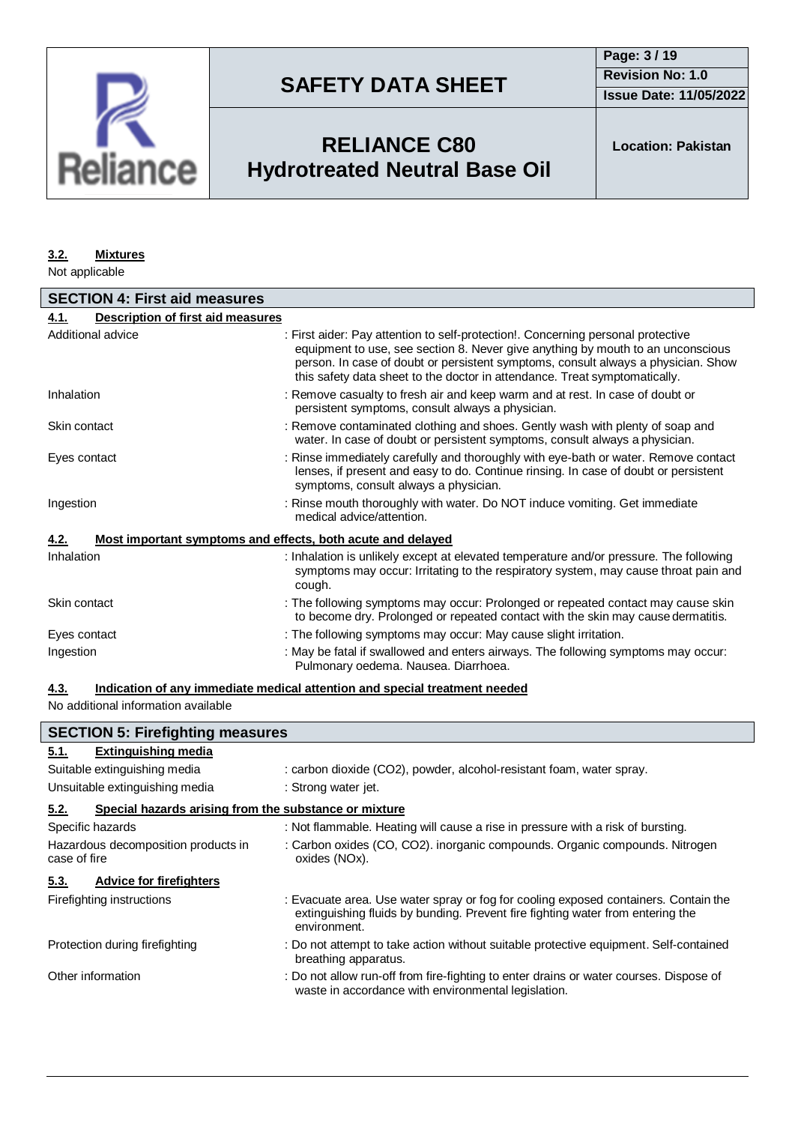

**Issue Date: 11/05/2022**

# **RELIANCE C80 Hydrotreated Neutral Base Oil**

#### **3.2. Mixtures**

Not applicable

| <b>SECTION 4: First aid measures</b>                                       |                                                                                                                                                                                                                                                                                                                                        |  |  |
|----------------------------------------------------------------------------|----------------------------------------------------------------------------------------------------------------------------------------------------------------------------------------------------------------------------------------------------------------------------------------------------------------------------------------|--|--|
| Description of first aid measures<br>4.1.                                  |                                                                                                                                                                                                                                                                                                                                        |  |  |
| Additional advice                                                          | : First aider: Pay attention to self-protection!. Concerning personal protective<br>equipment to use, see section 8. Never give anything by mouth to an unconscious<br>person. In case of doubt or persistent symptoms, consult always a physician. Show<br>this safety data sheet to the doctor in attendance. Treat symptomatically. |  |  |
| Inhalation                                                                 | : Remove casualty to fresh air and keep warm and at rest. In case of doubt or<br>persistent symptoms, consult always a physician.                                                                                                                                                                                                      |  |  |
| Skin contact                                                               | : Remove contaminated clothing and shoes. Gently wash with plenty of soap and<br>water. In case of doubt or persistent symptoms, consult always a physician.                                                                                                                                                                           |  |  |
| Eyes contact                                                               | : Rinse immediately carefully and thoroughly with eye-bath or water. Remove contact<br>lenses, if present and easy to do. Continue rinsing. In case of doubt or persistent<br>symptoms, consult always a physician.                                                                                                                    |  |  |
| Ingestion                                                                  | : Rinse mouth thoroughly with water. Do NOT induce vomiting. Get immediate<br>medical advice/attention.                                                                                                                                                                                                                                |  |  |
| Most important symptoms and effects, both acute and delayed<br><u>4.2.</u> |                                                                                                                                                                                                                                                                                                                                        |  |  |
| Inhalation                                                                 | : Inhalation is unlikely except at elevated temperature and/or pressure. The following<br>symptoms may occur: Irritating to the respiratory system, may cause throat pain and<br>cough.                                                                                                                                                |  |  |
| Skin contact                                                               | : The following symptoms may occur: Prolonged or repeated contact may cause skin<br>to become dry. Prolonged or repeated contact with the skin may cause dermatitis.                                                                                                                                                                   |  |  |
| Eyes contact                                                               | : The following symptoms may occur: May cause slight irritation.                                                                                                                                                                                                                                                                       |  |  |
| Ingestion                                                                  | : May be fatal if swallowed and enters airways. The following symptoms may occur:<br>Pulmonary oedema. Nausea. Diarrhoea.                                                                                                                                                                                                              |  |  |

#### **4.3. Indication of any immediate medical attention and special treatment needed**

No additional information available

| <b>SECTION 5: Firefighting measures</b>                       |                                                                                                                                                                                       |  |  |
|---------------------------------------------------------------|---------------------------------------------------------------------------------------------------------------------------------------------------------------------------------------|--|--|
| <b>Extinguishing media</b><br>5.1.                            |                                                                                                                                                                                       |  |  |
| Suitable extinguishing media                                  | : carbon dioxide (CO2), powder, alcohol-resistant foam, water spray.                                                                                                                  |  |  |
| Unsuitable extinguishing media                                | : Strong water jet.                                                                                                                                                                   |  |  |
| 5.2.<br>Special hazards arising from the substance or mixture |                                                                                                                                                                                       |  |  |
| Specific hazards                                              | : Not flammable. Heating will cause a rise in pressure with a risk of bursting.                                                                                                       |  |  |
| Hazardous decomposition products in<br>case of fire           | : Carbon oxides (CO, CO2). inorganic compounds. Organic compounds. Nitrogen<br>oxides (NOx).                                                                                          |  |  |
| <b>Advice for firefighters</b><br>5.3.                        |                                                                                                                                                                                       |  |  |
| Firefighting instructions                                     | : Evacuate area. Use water spray or fog for cooling exposed containers. Contain the<br>extinguishing fluids by bunding. Prevent fire fighting water from entering the<br>environment. |  |  |
| Protection during firefighting                                | : Do not attempt to take action without suitable protective equipment. Self-contained<br>breathing apparatus.                                                                         |  |  |
| Other information                                             | : Do not allow run-off from fire-fighting to enter drains or water courses. Dispose of<br>waste in accordance with environmental legislation.                                         |  |  |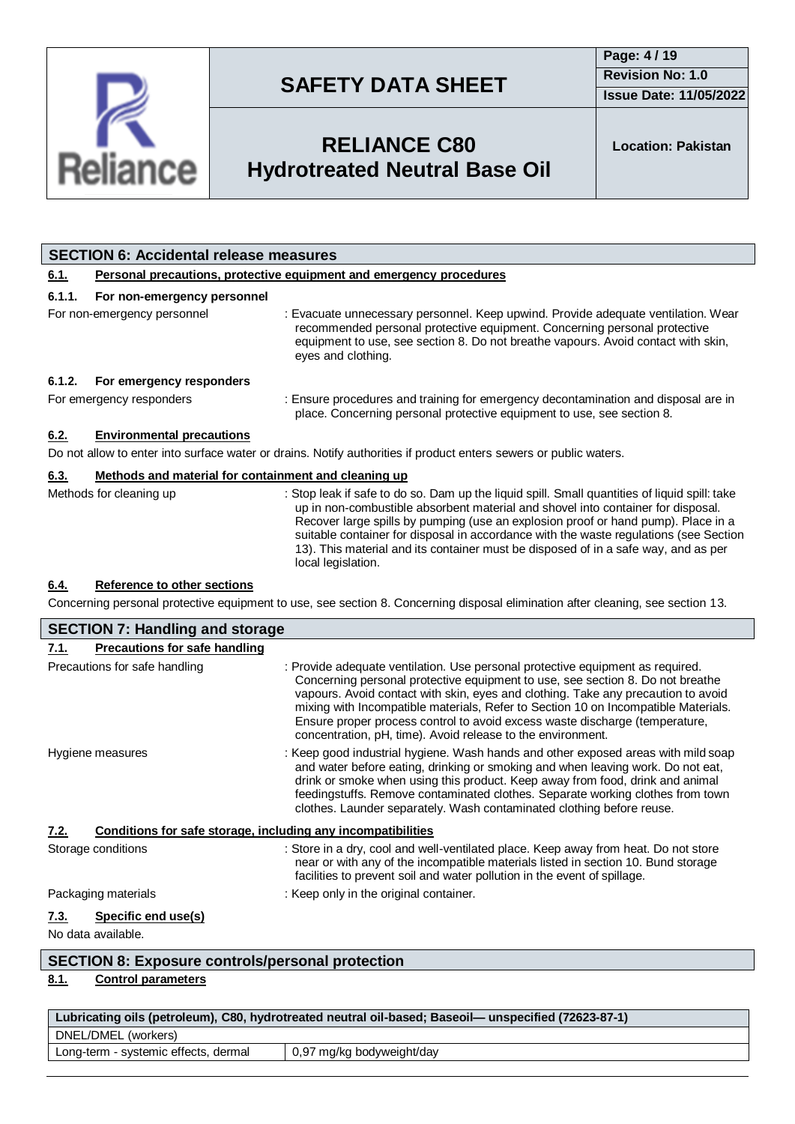

**Issue Date: 11/05/2022**

# **RELIANCE C80 Hydrotreated Neutral Base Oil**

**Location: Pakistan**

|                                                                                                                                 | <b>SECTION 6: Accidental release measures</b>                       |                                                                                                                                                                                                                                                                                                                                                                                                                                                                             |  |
|---------------------------------------------------------------------------------------------------------------------------------|---------------------------------------------------------------------|-----------------------------------------------------------------------------------------------------------------------------------------------------------------------------------------------------------------------------------------------------------------------------------------------------------------------------------------------------------------------------------------------------------------------------------------------------------------------------|--|
| <u>6.1.</u>                                                                                                                     | Personal precautions, protective equipment and emergency procedures |                                                                                                                                                                                                                                                                                                                                                                                                                                                                             |  |
| 6.1.1.                                                                                                                          | For non-emergency personnel                                         |                                                                                                                                                                                                                                                                                                                                                                                                                                                                             |  |
|                                                                                                                                 | For non-emergency personnel                                         | : Evacuate unnecessary personnel. Keep upwind. Provide adequate ventilation. Wear<br>recommended personal protective equipment. Concerning personal protective<br>equipment to use, see section 8. Do not breathe vapours. Avoid contact with skin,<br>eyes and clothing.                                                                                                                                                                                                   |  |
| 6.1.2.                                                                                                                          | For emergency responders                                            |                                                                                                                                                                                                                                                                                                                                                                                                                                                                             |  |
|                                                                                                                                 | For emergency responders                                            | : Ensure procedures and training for emergency decontamination and disposal are in<br>place. Concerning personal protective equipment to use, see section 8.                                                                                                                                                                                                                                                                                                                |  |
| 6.2.                                                                                                                            | <b>Environmental precautions</b>                                    |                                                                                                                                                                                                                                                                                                                                                                                                                                                                             |  |
| Do not allow to enter into surface water or drains. Notify authorities if product enters sewers or public waters.               |                                                                     |                                                                                                                                                                                                                                                                                                                                                                                                                                                                             |  |
| 6.3.                                                                                                                            | Methods and material for containment and cleaning up                |                                                                                                                                                                                                                                                                                                                                                                                                                                                                             |  |
|                                                                                                                                 | Methods for cleaning up                                             | : Stop leak if safe to do so. Dam up the liquid spill. Small quantities of liquid spill: take<br>up in non-combustible absorbent material and shovel into container for disposal.<br>Recover large spills by pumping (use an explosion proof or hand pump). Place in a<br>suitable container for disposal in accordance with the waste regulations (see Section<br>13). This material and its container must be disposed of in a safe way, and as per<br>local legislation. |  |
| 6.4.                                                                                                                            | <b>Reference to other sections</b>                                  |                                                                                                                                                                                                                                                                                                                                                                                                                                                                             |  |
| Concerning personal protective equipment to use, see section 8. Concerning disposal elimination after cleaning, see section 13. |                                                                     |                                                                                                                                                                                                                                                                                                                                                                                                                                                                             |  |
| <b>SECTION 7: Handling and storage</b>                                                                                          |                                                                     |                                                                                                                                                                                                                                                                                                                                                                                                                                                                             |  |

| <b>SECTION 7: Handling and storage</b>                               |                                                                                                                                                                                                                                                                                                                                                                                                                                                                                           |  |  |
|----------------------------------------------------------------------|-------------------------------------------------------------------------------------------------------------------------------------------------------------------------------------------------------------------------------------------------------------------------------------------------------------------------------------------------------------------------------------------------------------------------------------------------------------------------------------------|--|--|
| <b>Precautions for safe handling</b><br>7.1.                         |                                                                                                                                                                                                                                                                                                                                                                                                                                                                                           |  |  |
| Precautions for safe handling                                        | : Provide adequate ventilation. Use personal protective equipment as required.<br>Concerning personal protective equipment to use, see section 8. Do not breathe<br>vapours. Avoid contact with skin, eyes and clothing. Take any precaution to avoid<br>mixing with Incompatible materials, Refer to Section 10 on Incompatible Materials.<br>Ensure proper process control to avoid excess waste discharge (temperature,<br>concentration, pH, time). Avoid release to the environment. |  |  |
| Hygiene measures                                                     | : Keep good industrial hygiene. Wash hands and other exposed areas with mild soap<br>and water before eating, drinking or smoking and when leaving work. Do not eat,<br>drink or smoke when using this product. Keep away from food, drink and animal<br>feedingstuffs. Remove contaminated clothes. Separate working clothes from town<br>clothes. Launder separately. Wash contaminated clothing before reuse.                                                                          |  |  |
| Conditions for safe storage, including any incompatibilities<br>7.2. |                                                                                                                                                                                                                                                                                                                                                                                                                                                                                           |  |  |
| Storage conditions                                                   | : Store in a dry, cool and well-ventilated place. Keep away from heat. Do not store<br>near or with any of the incompatible materials listed in section 10. Bund storage<br>facilities to prevent soil and water pollution in the event of spillage.                                                                                                                                                                                                                                      |  |  |
| Packaging materials                                                  | : Keep only in the original container.                                                                                                                                                                                                                                                                                                                                                                                                                                                    |  |  |
| Specific end use(s)<br>7.3.                                          |                                                                                                                                                                                                                                                                                                                                                                                                                                                                                           |  |  |
| No data available.                                                   |                                                                                                                                                                                                                                                                                                                                                                                                                                                                                           |  |  |
| <b>SECTION 8: Exposure controls/personal protection</b>              |                                                                                                                                                                                                                                                                                                                                                                                                                                                                                           |  |  |

### **8.1. Control parameters**

| Lubricating oils (petroleum), C80, hydrotreated neutral oil-based; Baseoil— unspecified (72623-87-1) |                           |  |  |
|------------------------------------------------------------------------------------------------------|---------------------------|--|--|
| DNEL/DMEL (workers)                                                                                  |                           |  |  |
| Long-term - systemic effects, dermal                                                                 | 0,97 mg/kg bodyweight/day |  |  |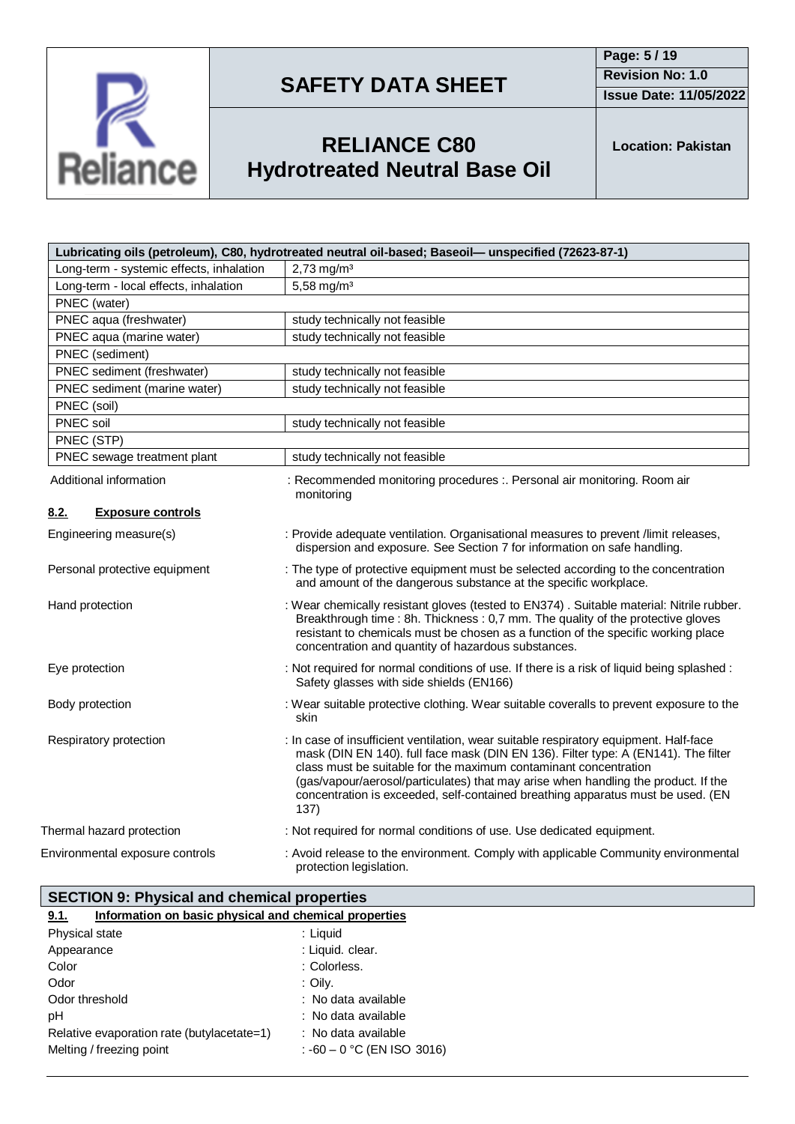

**Page: 5 / 19 Revision No: 1.0**

**Issue Date: 11/05/2022**



# **RELIANCE C80 Hydrotreated Neutral Base Oil**

**Location: Pakistan**

| Lubricating oils (petroleum), C80, hydrotreated neutral oil-based; Baseoil— unspecified (72623-87-1) |                                                                                                                                                                                                                                                                                                                                                                                                                                  |  |  |
|------------------------------------------------------------------------------------------------------|----------------------------------------------------------------------------------------------------------------------------------------------------------------------------------------------------------------------------------------------------------------------------------------------------------------------------------------------------------------------------------------------------------------------------------|--|--|
| Long-term - systemic effects, inhalation                                                             | $2,73$ mg/m <sup>3</sup>                                                                                                                                                                                                                                                                                                                                                                                                         |  |  |
| Long-term - local effects, inhalation                                                                | 5,58 mg/m <sup>3</sup>                                                                                                                                                                                                                                                                                                                                                                                                           |  |  |
| PNEC (water)                                                                                         |                                                                                                                                                                                                                                                                                                                                                                                                                                  |  |  |
| PNEC aqua (freshwater)                                                                               | study technically not feasible                                                                                                                                                                                                                                                                                                                                                                                                   |  |  |
| PNEC aqua (marine water)                                                                             | study technically not feasible                                                                                                                                                                                                                                                                                                                                                                                                   |  |  |
| PNEC (sediment)                                                                                      |                                                                                                                                                                                                                                                                                                                                                                                                                                  |  |  |
| PNEC sediment (freshwater)                                                                           | study technically not feasible                                                                                                                                                                                                                                                                                                                                                                                                   |  |  |
| PNEC sediment (marine water)                                                                         | study technically not feasible                                                                                                                                                                                                                                                                                                                                                                                                   |  |  |
| PNEC (soil)                                                                                          |                                                                                                                                                                                                                                                                                                                                                                                                                                  |  |  |
| PNEC soil                                                                                            | study technically not feasible                                                                                                                                                                                                                                                                                                                                                                                                   |  |  |
| PNEC (STP)                                                                                           |                                                                                                                                                                                                                                                                                                                                                                                                                                  |  |  |
| PNEC sewage treatment plant                                                                          | study technically not feasible                                                                                                                                                                                                                                                                                                                                                                                                   |  |  |
| Additional information                                                                               | : Recommended monitoring procedures :. Personal air monitoring. Room air<br>monitoring                                                                                                                                                                                                                                                                                                                                           |  |  |
| 8.2.<br><b>Exposure controls</b>                                                                     |                                                                                                                                                                                                                                                                                                                                                                                                                                  |  |  |
| Engineering measure(s)                                                                               | : Provide adequate ventilation. Organisational measures to prevent /limit releases,<br>dispersion and exposure. See Section 7 for information on safe handling.                                                                                                                                                                                                                                                                  |  |  |
| Personal protective equipment                                                                        | : The type of protective equipment must be selected according to the concentration<br>and amount of the dangerous substance at the specific workplace.                                                                                                                                                                                                                                                                           |  |  |
| Hand protection                                                                                      | : Wear chemically resistant gloves (tested to EN374). Suitable material: Nitrile rubber.<br>Breakthrough time : 8h. Thickness : 0,7 mm. The quality of the protective gloves<br>resistant to chemicals must be chosen as a function of the specific working place<br>concentration and quantity of hazardous substances.                                                                                                         |  |  |
| Eye protection                                                                                       | : Not required for normal conditions of use. If there is a risk of liquid being splashed :<br>Safety glasses with side shields (EN166)                                                                                                                                                                                                                                                                                           |  |  |
| Body protection                                                                                      | : Wear suitable protective clothing. Wear suitable coveralls to prevent exposure to the<br>skin                                                                                                                                                                                                                                                                                                                                  |  |  |
| Respiratory protection                                                                               | : In case of insufficient ventilation, wear suitable respiratory equipment. Half-face<br>mask (DIN EN 140). full face mask (DIN EN 136). Filter type: A (EN141). The filter<br>class must be suitable for the maximum contaminant concentration<br>(gas/vapour/aerosol/particulates) that may arise when handling the product. If the<br>concentration is exceeded, self-contained breathing apparatus must be used. (EN<br>137) |  |  |
| Thermal hazard protection                                                                            | : Not required for normal conditions of use. Use dedicated equipment.                                                                                                                                                                                                                                                                                                                                                            |  |  |
| Environmental exposure controls                                                                      | : Avoid release to the environment. Comply with applicable Community environmental<br>protection legislation.                                                                                                                                                                                                                                                                                                                    |  |  |

|      | SECTION 9: Physical and chemical properties           |
|------|-------------------------------------------------------|
| 9.1. | Information on basic physical and chemical properties |

| Physical state                             | : Liquid                     |
|--------------------------------------------|------------------------------|
| Appearance                                 | : Liquid. clear.             |
| Color                                      | : Colorless.                 |
| Odor                                       | : Oily.                      |
| Odor threshold                             | : No data available          |
| рH                                         | : No data available          |
| Relative evaporation rate (butylacetate=1) | : No data available          |
| Melting / freezing point                   | : $-60 - 0$ °C (EN ISO 3016) |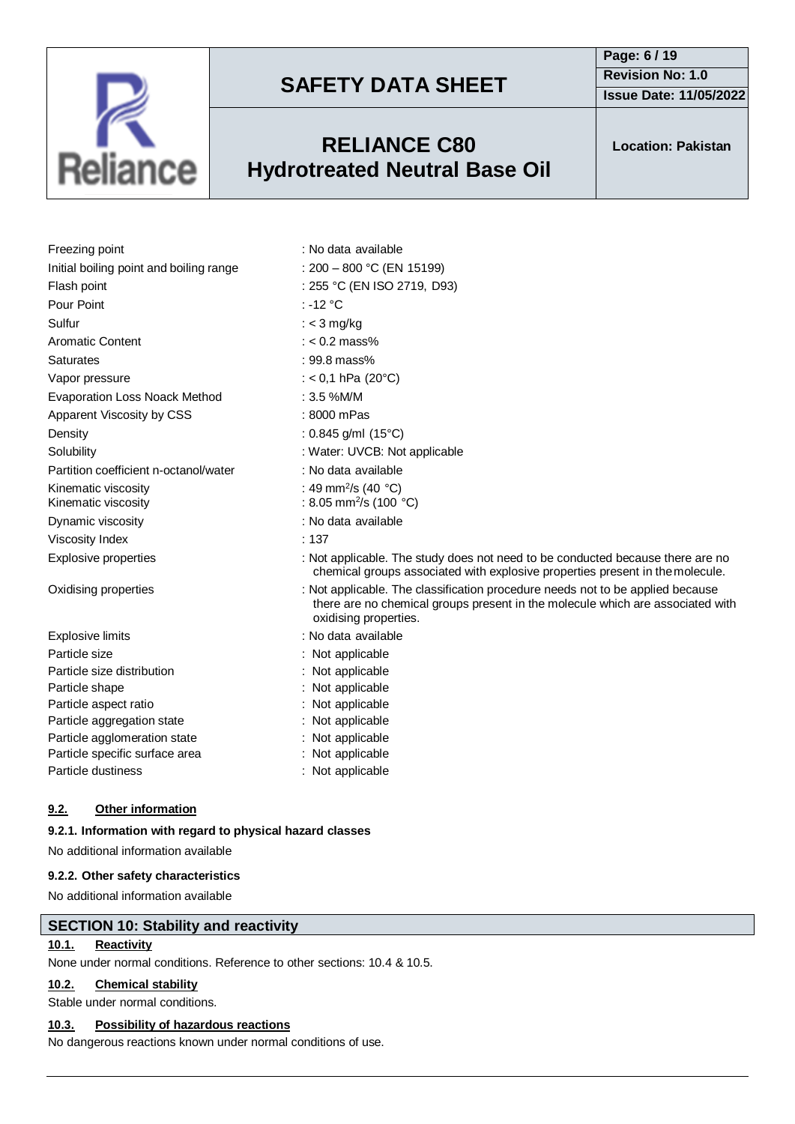

### **RELIANCE C80 Hydrotreated Neutral Base Oil**

**Page: 6 / 19 Revision No: 1.0 Issue Date: 11/05/2022**

**Location: Pakistan**

| Freezing point                             | : No data available                                                                                                                                                                       |
|--------------------------------------------|-------------------------------------------------------------------------------------------------------------------------------------------------------------------------------------------|
| Initial boiling point and boiling range    | : $200 - 800$ °C (EN 15199)                                                                                                                                                               |
| Flash point                                | : 255 °C (EN ISO 2719, D93)                                                                                                                                                               |
| Pour Point                                 | : -12 $\degree$ C                                                                                                                                                                         |
| Sulfur                                     | : $<$ 3 mg/kg                                                                                                                                                                             |
| <b>Aromatic Content</b>                    | $: < 0.2$ mass%                                                                                                                                                                           |
| Saturates                                  | $: 99.8$ mass%                                                                                                                                                                            |
| Vapor pressure                             | : < 0,1 hPa (20 $^{\circ}$ C)                                                                                                                                                             |
| <b>Evaporation Loss Noack Method</b>       | $: 3.5 %$ M/M                                                                                                                                                                             |
| Apparent Viscosity by CSS                  | : 8000 mPas                                                                                                                                                                               |
| Density                                    | : 0.845 g/ml $(15^{\circ}C)$                                                                                                                                                              |
| Solubility                                 | : Water: UVCB: Not applicable                                                                                                                                                             |
| Partition coefficient n-octanol/water      | : No data available                                                                                                                                                                       |
| Kinematic viscosity<br>Kinematic viscosity | : 49 mm <sup>2</sup> /s (40 $^{\circ}$ C)<br>: 8.05 mm <sup>2</sup> /s (100 °C)                                                                                                           |
| Dynamic viscosity                          | : No data available                                                                                                                                                                       |
| Viscosity Index                            | : 137                                                                                                                                                                                     |
| <b>Explosive properties</b>                | : Not applicable. The study does not need to be conducted because there are no<br>chemical groups associated with explosive properties present in the molecule.                           |
| Oxidising properties                       | : Not applicable. The classification procedure needs not to be applied because<br>there are no chemical groups present in the molecule which are associated with<br>oxidising properties. |
| <b>Explosive limits</b>                    | : No data available                                                                                                                                                                       |
| Particle size                              | : Not applicable                                                                                                                                                                          |
| Particle size distribution                 | : Not applicable                                                                                                                                                                          |
| Particle shape                             | : Not applicable                                                                                                                                                                          |
| Particle aspect ratio                      | : Not applicable                                                                                                                                                                          |
| Particle aggregation state                 | : Not applicable                                                                                                                                                                          |
| Particle agglomeration state               | : Not applicable                                                                                                                                                                          |
| Particle specific surface area             | : Not applicable                                                                                                                                                                          |
| Particle dustiness                         | : Not applicable                                                                                                                                                                          |

### **9.2. Other information**

### **9.2.1. Information with regard to physical hazard classes**

No additional information available

### **9.2.2. Other safety characteristics**

No additional information available

### **SECTION 10: Stability and reactivity**

### **10.1. Reactivity**

None under normal conditions. Reference to other sections: 10.4 & 10.5.

### **10.2. Chemical stability**

Stable under normal conditions.

### **10.3. Possibility of hazardous reactions**

No dangerous reactions known under normal conditions of use.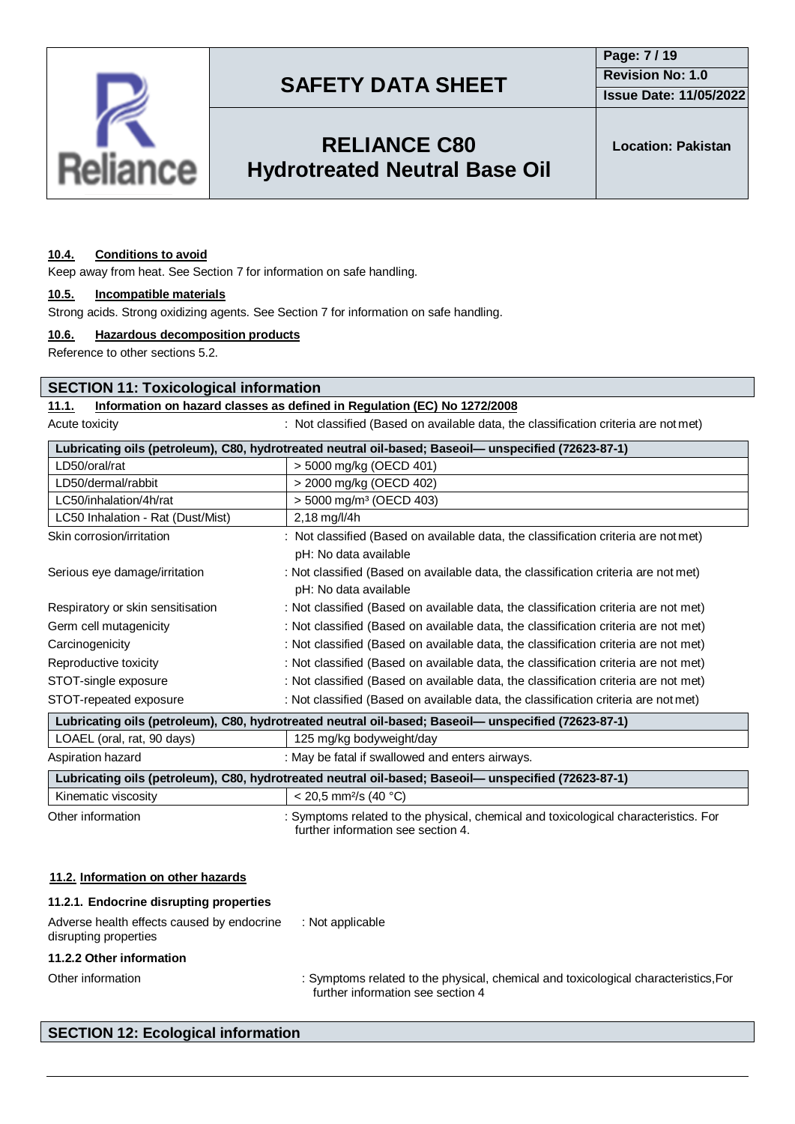

## **RELIANCE C80 Hydrotreated Neutral Base Oil**

**Location: Pakistan**

#### **10.4. Conditions to avoid**

Keep away from heat. See Section 7 for information on safe handling.

#### **10.5. Incompatible materials**

Strong acids. Strong oxidizing agents. See Section 7 for information on safe handling.

#### **10.6. Hazardous decomposition products**

Reference to other sections 5.2.

#### **SECTION 11: Toxicological information**

#### **11.1. Information on hazard classes as defined in Regulation (EC) No 1272/2008**

Acute toxicity **interest in the classified (Based on available data, the classification criteria are not met)** 

| LD50/oral/rat<br>> 5000 mg/kg (OECD 401)<br>LD50/dermal/rabbit<br>> 2000 mg/kg (OECD 402)<br>LC50/inhalation/4h/rat<br>$>$ 5000 mg/m <sup>3</sup> (OECD 403)<br>LC50 Inhalation - Rat (Dust/Mist)<br>2,18 mg/l/4h<br>Skin corrosion/irritation<br>: Not classified (Based on available data, the classification criteria are not met)<br>pH: No data available<br>: Not classified (Based on available data, the classification criteria are not met)<br>Serious eye damage/irritation<br>pH: No data available<br>Respiratory or skin sensitisation<br>: Not classified (Based on available data, the classification criteria are not met)<br>Germ cell mutagenicity<br>: Not classified (Based on available data, the classification criteria are not met)<br>Carcinogenicity<br>: Not classified (Based on available data, the classification criteria are not met)<br>Reproductive toxicity<br>: Not classified (Based on available data, the classification criteria are not met)<br>STOT-single exposure<br>: Not classified (Based on available data, the classification criteria are not met)<br>STOT-repeated exposure<br>: Not classified (Based on available data, the classification criteria are not met)<br>Lubricating oils (petroleum), C80, hydrotreated neutral oil-based; Baseoil-unspecified (72623-87-1)<br>LOAEL (oral, rat, 90 days)<br>125 mg/kg bodyweight/day<br>Aspiration hazard<br>: May be fatal if swallowed and enters airways. |                                                                                                      | Lubricating oils (petroleum), C80, hydrotreated neutral oil-based; Baseoil— unspecified (72623-87-1) |  |
|-----------------------------------------------------------------------------------------------------------------------------------------------------------------------------------------------------------------------------------------------------------------------------------------------------------------------------------------------------------------------------------------------------------------------------------------------------------------------------------------------------------------------------------------------------------------------------------------------------------------------------------------------------------------------------------------------------------------------------------------------------------------------------------------------------------------------------------------------------------------------------------------------------------------------------------------------------------------------------------------------------------------------------------------------------------------------------------------------------------------------------------------------------------------------------------------------------------------------------------------------------------------------------------------------------------------------------------------------------------------------------------------------------------------------------------------------------------------|------------------------------------------------------------------------------------------------------|------------------------------------------------------------------------------------------------------|--|
|                                                                                                                                                                                                                                                                                                                                                                                                                                                                                                                                                                                                                                                                                                                                                                                                                                                                                                                                                                                                                                                                                                                                                                                                                                                                                                                                                                                                                                                                 |                                                                                                      |                                                                                                      |  |
|                                                                                                                                                                                                                                                                                                                                                                                                                                                                                                                                                                                                                                                                                                                                                                                                                                                                                                                                                                                                                                                                                                                                                                                                                                                                                                                                                                                                                                                                 |                                                                                                      |                                                                                                      |  |
|                                                                                                                                                                                                                                                                                                                                                                                                                                                                                                                                                                                                                                                                                                                                                                                                                                                                                                                                                                                                                                                                                                                                                                                                                                                                                                                                                                                                                                                                 |                                                                                                      |                                                                                                      |  |
|                                                                                                                                                                                                                                                                                                                                                                                                                                                                                                                                                                                                                                                                                                                                                                                                                                                                                                                                                                                                                                                                                                                                                                                                                                                                                                                                                                                                                                                                 |                                                                                                      |                                                                                                      |  |
|                                                                                                                                                                                                                                                                                                                                                                                                                                                                                                                                                                                                                                                                                                                                                                                                                                                                                                                                                                                                                                                                                                                                                                                                                                                                                                                                                                                                                                                                 |                                                                                                      |                                                                                                      |  |
|                                                                                                                                                                                                                                                                                                                                                                                                                                                                                                                                                                                                                                                                                                                                                                                                                                                                                                                                                                                                                                                                                                                                                                                                                                                                                                                                                                                                                                                                 |                                                                                                      |                                                                                                      |  |
|                                                                                                                                                                                                                                                                                                                                                                                                                                                                                                                                                                                                                                                                                                                                                                                                                                                                                                                                                                                                                                                                                                                                                                                                                                                                                                                                                                                                                                                                 |                                                                                                      |                                                                                                      |  |
|                                                                                                                                                                                                                                                                                                                                                                                                                                                                                                                                                                                                                                                                                                                                                                                                                                                                                                                                                                                                                                                                                                                                                                                                                                                                                                                                                                                                                                                                 |                                                                                                      |                                                                                                      |  |
|                                                                                                                                                                                                                                                                                                                                                                                                                                                                                                                                                                                                                                                                                                                                                                                                                                                                                                                                                                                                                                                                                                                                                                                                                                                                                                                                                                                                                                                                 |                                                                                                      |                                                                                                      |  |
|                                                                                                                                                                                                                                                                                                                                                                                                                                                                                                                                                                                                                                                                                                                                                                                                                                                                                                                                                                                                                                                                                                                                                                                                                                                                                                                                                                                                                                                                 |                                                                                                      |                                                                                                      |  |
|                                                                                                                                                                                                                                                                                                                                                                                                                                                                                                                                                                                                                                                                                                                                                                                                                                                                                                                                                                                                                                                                                                                                                                                                                                                                                                                                                                                                                                                                 |                                                                                                      |                                                                                                      |  |
|                                                                                                                                                                                                                                                                                                                                                                                                                                                                                                                                                                                                                                                                                                                                                                                                                                                                                                                                                                                                                                                                                                                                                                                                                                                                                                                                                                                                                                                                 |                                                                                                      |                                                                                                      |  |
|                                                                                                                                                                                                                                                                                                                                                                                                                                                                                                                                                                                                                                                                                                                                                                                                                                                                                                                                                                                                                                                                                                                                                                                                                                                                                                                                                                                                                                                                 |                                                                                                      |                                                                                                      |  |
|                                                                                                                                                                                                                                                                                                                                                                                                                                                                                                                                                                                                                                                                                                                                                                                                                                                                                                                                                                                                                                                                                                                                                                                                                                                                                                                                                                                                                                                                 |                                                                                                      |                                                                                                      |  |
|                                                                                                                                                                                                                                                                                                                                                                                                                                                                                                                                                                                                                                                                                                                                                                                                                                                                                                                                                                                                                                                                                                                                                                                                                                                                                                                                                                                                                                                                 |                                                                                                      |                                                                                                      |  |
|                                                                                                                                                                                                                                                                                                                                                                                                                                                                                                                                                                                                                                                                                                                                                                                                                                                                                                                                                                                                                                                                                                                                                                                                                                                                                                                                                                                                                                                                 |                                                                                                      |                                                                                                      |  |
|                                                                                                                                                                                                                                                                                                                                                                                                                                                                                                                                                                                                                                                                                                                                                                                                                                                                                                                                                                                                                                                                                                                                                                                                                                                                                                                                                                                                                                                                 |                                                                                                      |                                                                                                      |  |
|                                                                                                                                                                                                                                                                                                                                                                                                                                                                                                                                                                                                                                                                                                                                                                                                                                                                                                                                                                                                                                                                                                                                                                                                                                                                                                                                                                                                                                                                 | Lubricating oils (petroleum), C80, hydrotreated neutral oil-based; Baseoil— unspecified (72623-87-1) |                                                                                                      |  |

Kinematic viscosity  $\vert$  < 20,5 mm<sup>2</sup>/s (40 °C) Other information : Symptoms related to the physical, chemical and toxicological characteristics. For further information see section 4.

#### **11.2. Information on other hazards**

| 11.2.1. Endocrine disrupting properties                             |                                                                                                                          |
|---------------------------------------------------------------------|--------------------------------------------------------------------------------------------------------------------------|
| Adverse health effects caused by endocrine<br>disrupting properties | : Not applicable                                                                                                         |
| 11.2.2 Other information                                            |                                                                                                                          |
| Other information                                                   | : Symptoms related to the physical, chemical and toxicological characteristics, For<br>further information see section 4 |

### **SECTION 12: Ecological information**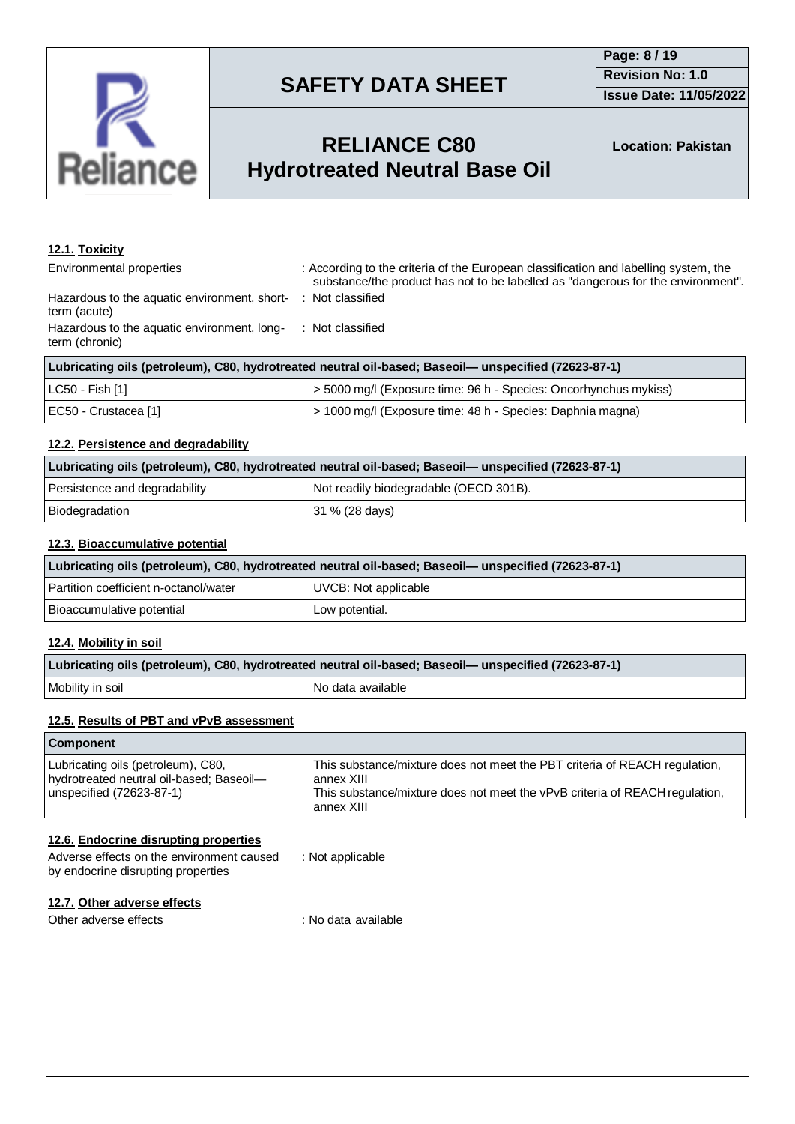

### **RELIANCE C80 Hydrotreated Ne**

**Location: Pakistan**

| eutral Base Oil |
|-----------------|
|                 |

| 12.1. Toxicity |
|----------------|
|                |

Environmental properties : According to the criteria of the European classification and labelling system, the substance/the product has not to be labelled as "dangerous for the environment". : Not classified

Hazardous to the aquatic environment, shortterm (acute) Hazardous to the aquatic environment, longterm (chronic) : Not classified

| Lubricating oils (petroleum), C80, hydrotreated neutral oil-based; Baseoil— unspecified (72623-87-1) |                                                                  |
|------------------------------------------------------------------------------------------------------|------------------------------------------------------------------|
| LC50 - Fish [1]                                                                                      | > 5000 mg/l (Exposure time: 96 h - Species: Oncorhynchus mykiss) |
| EC50 - Crustacea [1]                                                                                 | > 1000 mg/l (Exposure time: 48 h - Species: Daphnia magna)       |

### **12.2. Persistence and degradability**

| Lubricating oils (petroleum), C80, hydrotreated neutral oil-based; Baseoil— unspecified (72623-87-1) |                                        |
|------------------------------------------------------------------------------------------------------|----------------------------------------|
| Persistence and degradability                                                                        | Not readily biodegradable (OECD 301B). |
| Biodegradation                                                                                       | 31 % (28 days)                         |

### **12.3. Bioaccumulative potential**

| Lubricating oils (petroleum), C80, hydrotreated neutral oil-based; Baseoil— unspecified (72623-87-1) |                      |
|------------------------------------------------------------------------------------------------------|----------------------|
| Partition coefficient n-octanol/water                                                                | UVCB: Not applicable |
| Bioaccumulative potential                                                                            | Low potential.       |

#### **12.4. Mobility in soil**

| Lubricating oils (petroleum), C80, hydrotreated neutral oil-based; Baseoil— unspecified (72623-87-1) |                     |
|------------------------------------------------------------------------------------------------------|---------------------|
| Mobility in soil                                                                                     | I No data available |

### **12.5. Results of PBT and vPvB assessment**

| <b>Component</b>                                                                                           |                                                                                                                                                                                       |
|------------------------------------------------------------------------------------------------------------|---------------------------------------------------------------------------------------------------------------------------------------------------------------------------------------|
| Lubricating oils (petroleum), C80,<br>hydrotreated neutral oil-based; Baseoil-<br>unspecified (72623-87-1) | This substance/mixture does not meet the PBT criteria of REACH regulation,<br>annex XIII<br>This substance/mixture does not meet the vPvB criteria of REACH regulation,<br>annex XIII |

#### **12.6. Endocrine disrupting properties**

| Adverse effects on the environment caused | : Not applicable |
|-------------------------------------------|------------------|
| by endocrine disrupting properties        |                  |

#### **12.7. Other adverse effects**

Other adverse effects in the set of the set of the set of the contract of the contract of the contract of the contract of the contract of the contract of the contract of the contract of the contract of the contract of the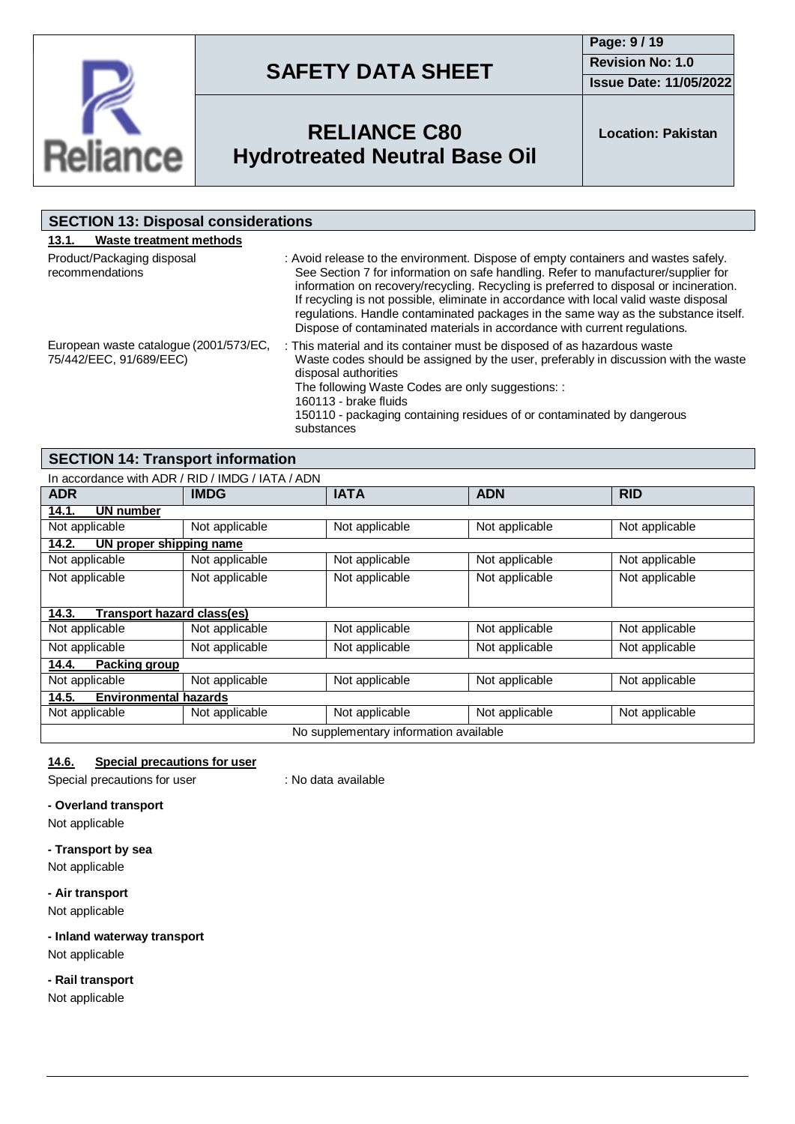

**Page: 9 / 19 Revision No: 1.0 Issue Date: 11/05/2022**



# **RELIANCE C80 Hydrotreated Neutral Base Oil**

**Location: Pakistan**

| <b>SECTION 13: Disposal considerations</b>                        |                                                                                                                                                                                                                                                                                                                                                                                                                                                                                                                                |
|-------------------------------------------------------------------|--------------------------------------------------------------------------------------------------------------------------------------------------------------------------------------------------------------------------------------------------------------------------------------------------------------------------------------------------------------------------------------------------------------------------------------------------------------------------------------------------------------------------------|
| Waste treatment methods<br>13.1.                                  |                                                                                                                                                                                                                                                                                                                                                                                                                                                                                                                                |
| Product/Packaging disposal<br>recommendations                     | : Avoid release to the environment. Dispose of empty containers and wastes safely.<br>See Section 7 for information on safe handling. Refer to manufacturer/supplier for<br>information on recovery/recycling. Recycling is preferred to disposal or incineration.<br>If recycling is not possible, eliminate in accordance with local valid waste disposal<br>regulations. Handle contaminated packages in the same way as the substance itself.<br>Dispose of contaminated materials in accordance with current regulations. |
| European waste catalogue (2001/573/EC,<br>75/442/EEC, 91/689/EEC) | : This material and its container must be disposed of as hazardous waste<br>Waste codes should be assigned by the user, preferably in discussion with the waste<br>disposal authorities<br>The following Waste Codes are only suggestions: :<br>160113 - brake fluids<br>150110 - packaging containing residues of or contaminated by dangerous<br>substances                                                                                                                                                                  |

### **SECTION 14: Transport information**

| In accordance with ADR / RID / IMDG / IATA / ADN |                |                |                |                |  |
|--------------------------------------------------|----------------|----------------|----------------|----------------|--|
| <b>ADR</b>                                       | <b>IMDG</b>    | <b>IATA</b>    | <b>ADN</b>     | <b>RID</b>     |  |
| UN number<br>14.1.                               |                |                |                |                |  |
| Not applicable                                   | Not applicable | Not applicable | Not applicable | Not applicable |  |
| UN proper shipping name<br>14.2.                 |                |                |                |                |  |
| Not applicable                                   | Not applicable | Not applicable | Not applicable | Not applicable |  |
| Not applicable                                   | Not applicable | Not applicable | Not applicable | Not applicable |  |
|                                                  |                |                |                |                |  |
| Transport hazard class(es)<br>14.3.              |                |                |                |                |  |
| Not applicable                                   | Not applicable | Not applicable | Not applicable | Not applicable |  |
| Not applicable                                   | Not applicable | Not applicable | Not applicable | Not applicable |  |
| 14.4.<br>Packing group                           |                |                |                |                |  |
| Not applicable                                   | Not applicable | Not applicable | Not applicable | Not applicable |  |
| 14.5.<br><b>Environmental hazards</b>            |                |                |                |                |  |
| Not applicable                                   | Not applicable | Not applicable | Not applicable | Not applicable |  |
| No supplementary information available           |                |                |                |                |  |

### **14.6. Special precautions for user**

Special precautions for user : No data available

#### **- Overland transport**

Not applicable

#### **- Transport by sea**

Not applicable

#### **- Air transport**

Not applicable

### **- Inland waterway transport**

Not applicable

#### **- Rail transport**

Not applicable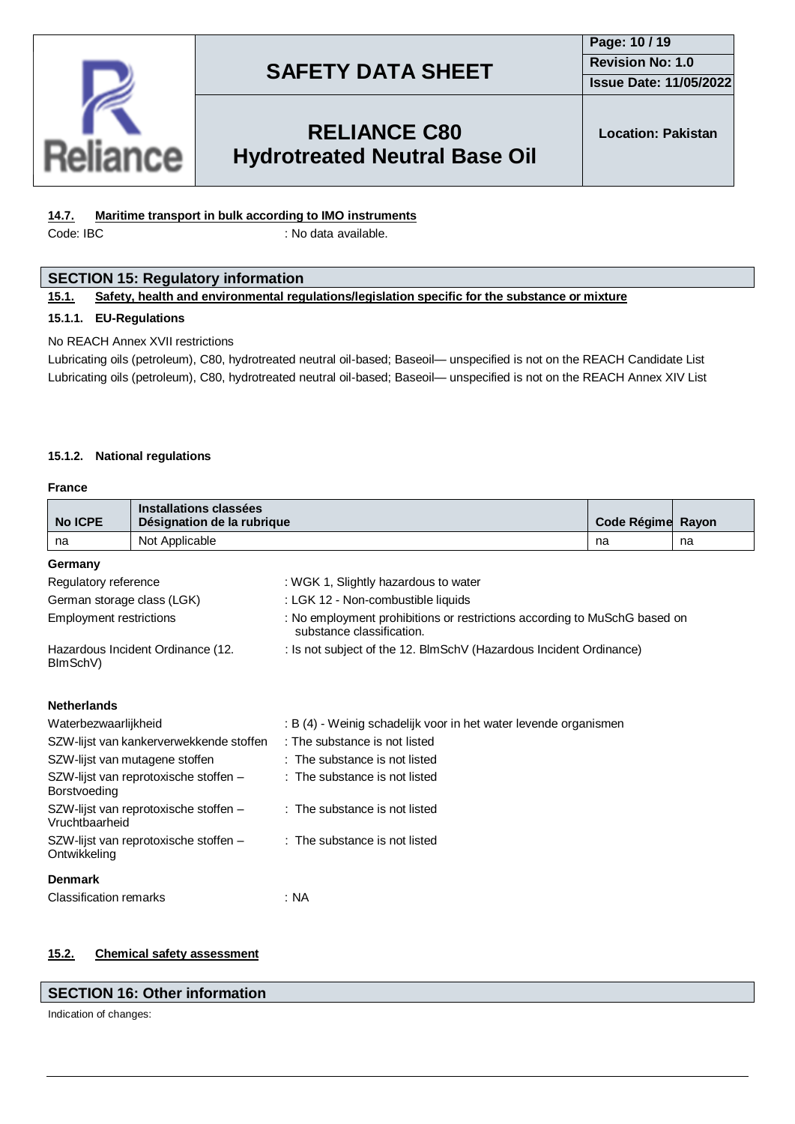

### **Page: 10 / 19 Revision No: 1.0 Issue Date: 11/05/2022**

### **RELIANCE C80 Hydrotreated Neutral Base Oil**

**Location: Pakistan**

### **14.7. Maritime transport in bulk according to IMO instruments**

Code: IBC : No data available.

#### **SECTION 15: Regulatory information**

#### **15.1. Safety, health and environmental regulations/legislation specific for the substance or mixture**

#### **15.1.1. EU-Regulations**

#### No REACH Annex XVII restrictions

Lubricating oils (petroleum), C80, hydrotreated neutral oil-based; Baseoil— unspecified is not on the REACH Candidate List Lubricating oils (petroleum), C80, hydrotreated neutral oil-based; Baseoil— unspecified is not on the REACH Annex XIV List

#### **15.1.2. National regulations**

#### **France**

|                                                         | Installations classées                  |                                                                                                        |                   |    |  |  |
|---------------------------------------------------------|-----------------------------------------|--------------------------------------------------------------------------------------------------------|-------------------|----|--|--|
| <b>No ICPE</b>                                          | Désignation de la rubrique              |                                                                                                        | Code Régime Rayon |    |  |  |
| na                                                      | Not Applicable                          |                                                                                                        | na                | na |  |  |
| Germany                                                 |                                         |                                                                                                        |                   |    |  |  |
| Regulatory reference                                    |                                         | : WGK 1, Slightly hazardous to water                                                                   |                   |    |  |  |
| German storage class (LGK)                              |                                         | : LGK 12 - Non-combustible liquids                                                                     |                   |    |  |  |
| <b>Employment restrictions</b>                          |                                         | : No employment prohibitions or restrictions according to MuSchG based on<br>substance classification. |                   |    |  |  |
| Hazardous Incident Ordinance (12.<br>BImSchV)           |                                         | : Is not subject of the 12. BlmSchV (Hazardous Incident Ordinance)                                     |                   |    |  |  |
| <b>Netherlands</b>                                      |                                         |                                                                                                        |                   |    |  |  |
| Waterbezwaarlijkheid                                    |                                         | : B (4) - Weinig schadelijk voor in het water levende organismen                                       |                   |    |  |  |
|                                                         | SZW-lijst van kankerverwekkende stoffen | : The substance is not listed                                                                          |                   |    |  |  |
| SZW-lijst van mutagene stoffen                          |                                         | : The substance is not listed                                                                          |                   |    |  |  |
| SZW-lijst van reprotoxische stoffen -<br>Borstvoeding   |                                         | : The substance is not listed                                                                          |                   |    |  |  |
| SZW-lijst van reprotoxische stoffen -<br>Vruchtbaarheid |                                         | : The substance is not listed                                                                          |                   |    |  |  |
| SZW-lijst van reprotoxische stoffen -<br>Ontwikkeling   |                                         | : The substance is not listed                                                                          |                   |    |  |  |
| <b>Denmark</b>                                          |                                         |                                                                                                        |                   |    |  |  |
| <b>Classification remarks</b>                           |                                         | : NA                                                                                                   |                   |    |  |  |

#### **15.2. Chemical safety assessment**

#### **SECTION 16: Other information**

Indication of changes: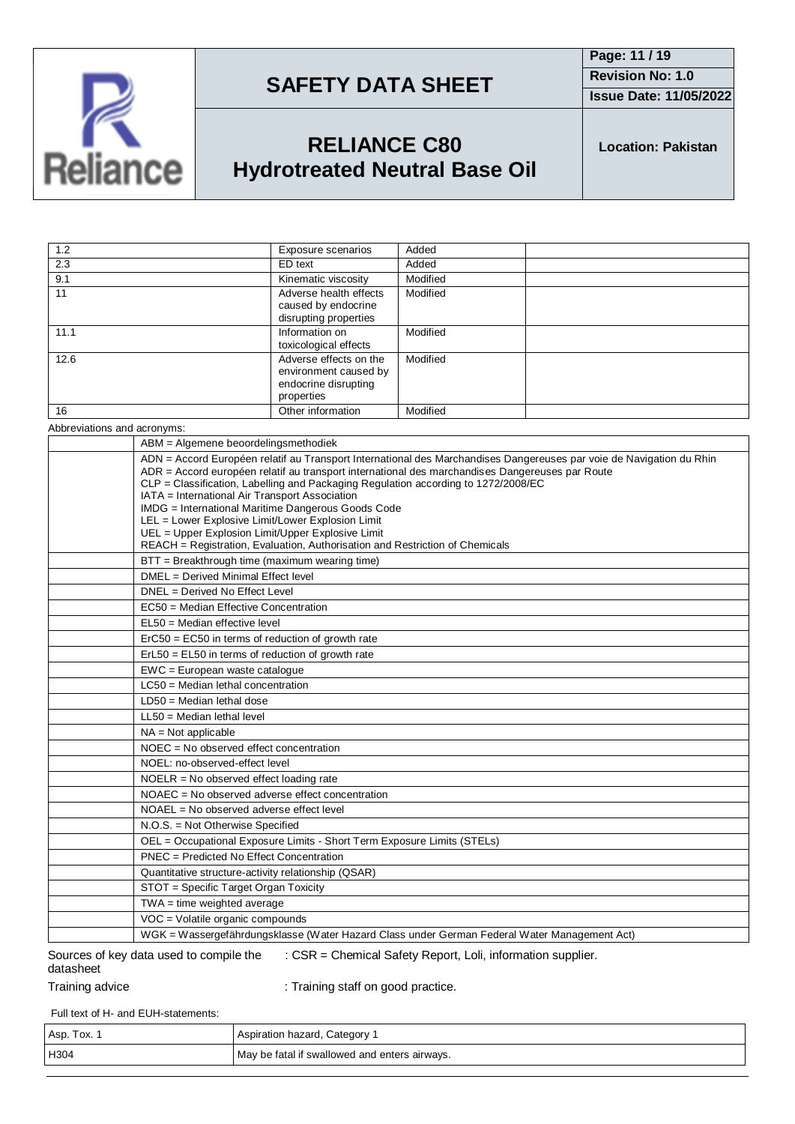

**Page: 11 / 19 Revision No: 1.0 Issue Date: 11/05/2022**

# **RELIANCE C80 Hydrotreated Neutral Base Oil**

**Location: Pakistan**

| 1.2  | Exposure scenarios                                                                    | Added    |
|------|---------------------------------------------------------------------------------------|----------|
| 2.3  | ED text                                                                               | Added    |
| 9.1  | Kinematic viscosity                                                                   | Modified |
| 11   | Adverse health effects<br>caused by endocrine<br>disrupting properties                | Modified |
| 11.1 | Information on<br>toxicological effects                                               | Modified |
| 12.6 | Adverse effects on the<br>environment caused by<br>endocrine disrupting<br>properties | Modified |
| 16   | Other information                                                                     | Modified |
|      |                                                                                       |          |

Abbreviations and acronyms:

| ABM = Algemene beoordelingsmethodiek                                                                                                                                                                                                                                                                                                                                                                                                                                                                                                                                                                            |
|-----------------------------------------------------------------------------------------------------------------------------------------------------------------------------------------------------------------------------------------------------------------------------------------------------------------------------------------------------------------------------------------------------------------------------------------------------------------------------------------------------------------------------------------------------------------------------------------------------------------|
| ADN = Accord Européen relatif au Transport International des Marchandises Dangereuses par voie de Navigation du Rhin<br>ADR = Accord européen relatif au transport international des marchandises Dangereuses par Route<br>CLP = Classification, Labelling and Packaging Regulation according to 1272/2008/EC<br>IATA = International Air Transport Association<br>IMDG = International Maritime Dangerous Goods Code<br>LEL = Lower Explosive Limit/Lower Explosion Limit<br>UEL = Upper Explosion Limit/Upper Explosive Limit<br>REACH = Registration, Evaluation, Authorisation and Restriction of Chemicals |
| BTT = Breakthrough time (maximum wearing time)                                                                                                                                                                                                                                                                                                                                                                                                                                                                                                                                                                  |
| DMEL = Derived Minimal Effect level                                                                                                                                                                                                                                                                                                                                                                                                                                                                                                                                                                             |
| DNEL = Derived No Effect Level                                                                                                                                                                                                                                                                                                                                                                                                                                                                                                                                                                                  |
| EC50 = Median Effective Concentration                                                                                                                                                                                                                                                                                                                                                                                                                                                                                                                                                                           |
| EL50 = Median effective level                                                                                                                                                                                                                                                                                                                                                                                                                                                                                                                                                                                   |
| ErC50 = EC50 in terms of reduction of growth rate                                                                                                                                                                                                                                                                                                                                                                                                                                                                                                                                                               |
| $ErL50 = EL50$ in terms of reduction of growth rate                                                                                                                                                                                                                                                                                                                                                                                                                                                                                                                                                             |
| $EWC = European waste catalogue$                                                                                                                                                                                                                                                                                                                                                                                                                                                                                                                                                                                |
| LC50 = Median lethal concentration                                                                                                                                                                                                                                                                                                                                                                                                                                                                                                                                                                              |
| $LD50 = Median$ lethal dose                                                                                                                                                                                                                                                                                                                                                                                                                                                                                                                                                                                     |
| $LL50$ = Median lethal level                                                                                                                                                                                                                                                                                                                                                                                                                                                                                                                                                                                    |
| $NA = Not applicable$                                                                                                                                                                                                                                                                                                                                                                                                                                                                                                                                                                                           |
| $NOEC = No observed effect concentration$                                                                                                                                                                                                                                                                                                                                                                                                                                                                                                                                                                       |
| NOEL: no-observed-effect level                                                                                                                                                                                                                                                                                                                                                                                                                                                                                                                                                                                  |
| $NOELR = No observed effect loading rate$                                                                                                                                                                                                                                                                                                                                                                                                                                                                                                                                                                       |
| NOAEC = No observed adverse effect concentration                                                                                                                                                                                                                                                                                                                                                                                                                                                                                                                                                                |
| NOAEL = No observed adverse effect level                                                                                                                                                                                                                                                                                                                                                                                                                                                                                                                                                                        |
| N.O.S. = Not Otherwise Specified                                                                                                                                                                                                                                                                                                                                                                                                                                                                                                                                                                                |
| OEL = Occupational Exposure Limits - Short Term Exposure Limits (STELs)                                                                                                                                                                                                                                                                                                                                                                                                                                                                                                                                         |
| PNEC = Predicted No Effect Concentration                                                                                                                                                                                                                                                                                                                                                                                                                                                                                                                                                                        |
| Quantitative structure-activity relationship (QSAR)                                                                                                                                                                                                                                                                                                                                                                                                                                                                                                                                                             |
| STOT = Specific Target Organ Toxicity                                                                                                                                                                                                                                                                                                                                                                                                                                                                                                                                                                           |
| $TWA = time weighted average$                                                                                                                                                                                                                                                                                                                                                                                                                                                                                                                                                                                   |
| VOC = Volatile organic compounds                                                                                                                                                                                                                                                                                                                                                                                                                                                                                                                                                                                |
| WGK = Wassergefährdungsklasse (Water Hazard Class under German Federal Water Management Act)                                                                                                                                                                                                                                                                                                                                                                                                                                                                                                                    |

#### Sources of key data used to compile the datasheet : CSR = Chemical Safety Report, Loli, information supplier.

Training advice **in the state of the Contract** : Training staff on good practice.

Full text of H- and EUH-statements:

| Asp. Tox. | Aspiration hazard, Category                   |
|-----------|-----------------------------------------------|
| H304      | May be fatal if swallowed and enters airways. |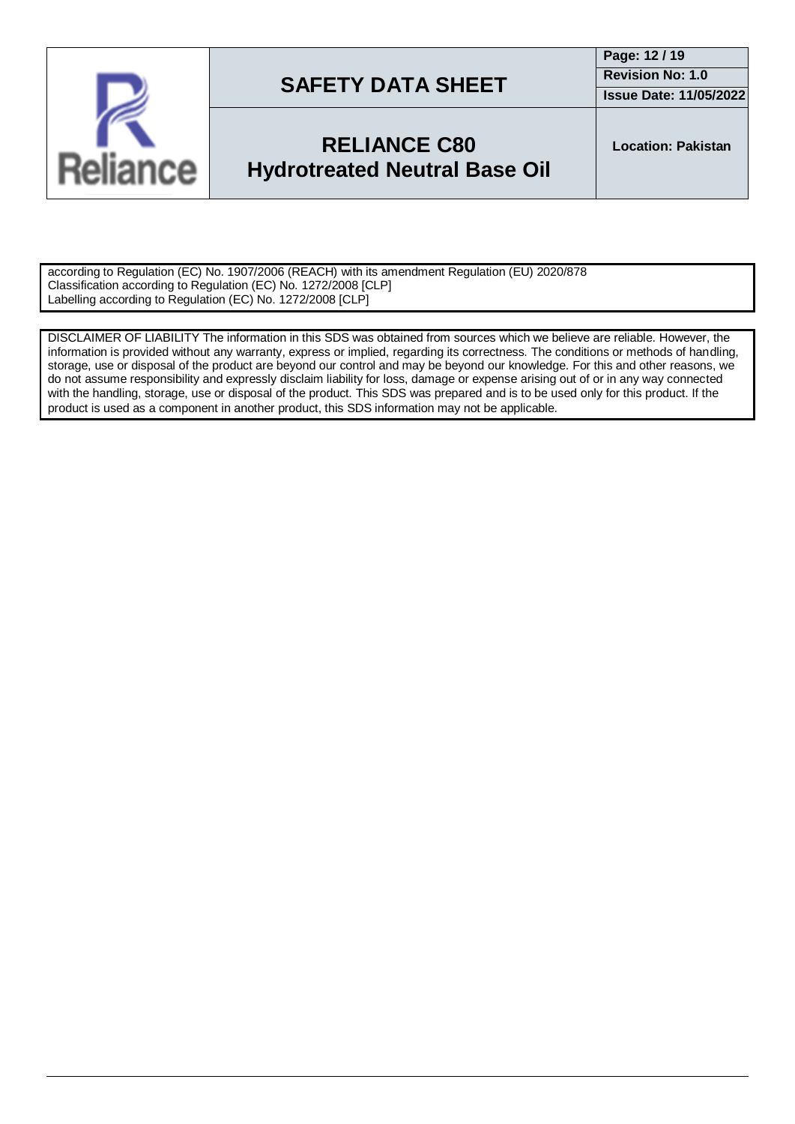

### **RELIANCE C80 Hydrotreated Neutral Base Oil**

**Location: Pakistan**

according to Regulation (EC) No. 1907/2006 (REACH) with its amendment Regulation (EU) 2020/878 Classification according to Regulation (EC) No. 1272/2008 [CLP] Labelling according to Regulation (EC) No. 1272/2008 [CLP]

DISCLAIMER OF LIABILITY The information in this SDS was obtained from sources which we believe are reliable. However, the information is provided without any warranty, express or implied, regarding its correctness. The conditions or methods of handling, storage, use or disposal of the product are beyond our control and may be beyond our knowledge. For this and other reasons, we do not assume responsibility and expressly disclaim liability for loss, damage or expense arising out of or in any way connected with the handling, storage, use or disposal of the product. This SDS was prepared and is to be used only for this product. If the product is used as a component in another product, this SDS information may not be applicable.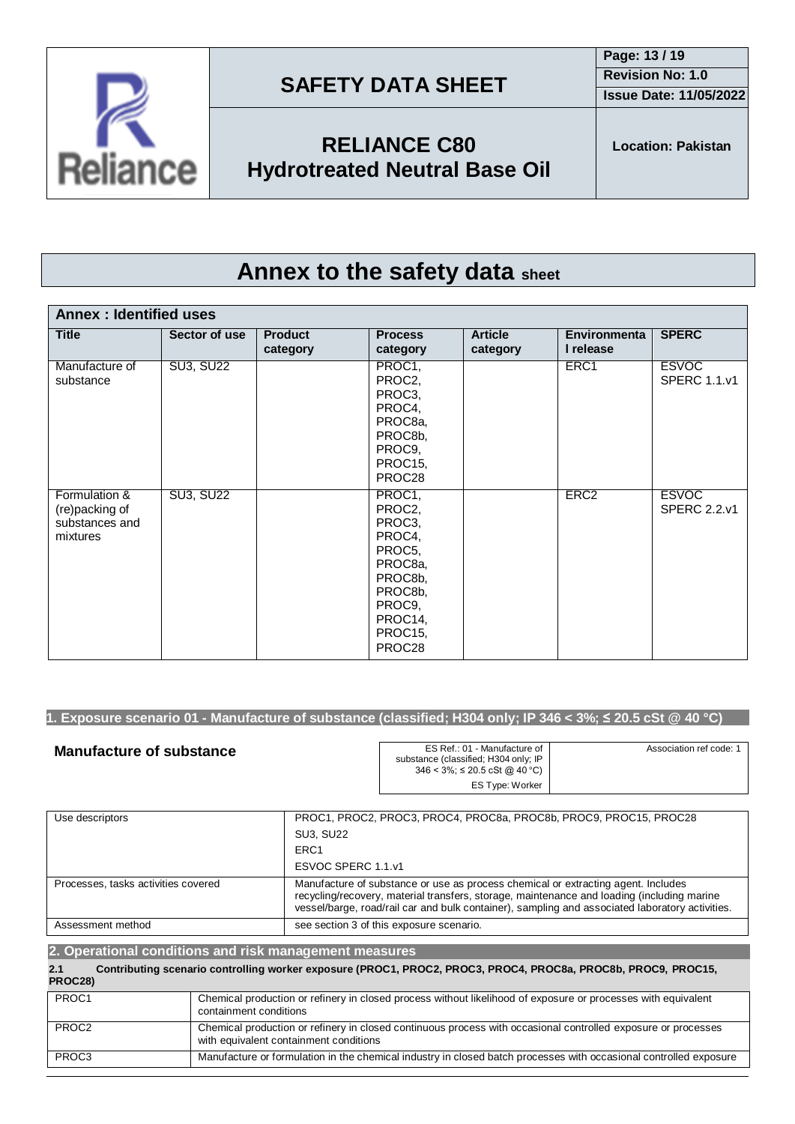**Issue Date: 11/05/2022**



**RELIANCE C80 Hydrotreated Neutral Base Oil**

**Location: Pakistan**

# **Annex to the safety data sheet**

| <b>Annex: Identified uses</b>                                 |                  |                            |                                                                                                                           |                            |                                  |                                     |
|---------------------------------------------------------------|------------------|----------------------------|---------------------------------------------------------------------------------------------------------------------------|----------------------------|----------------------------------|-------------------------------------|
| <b>Title</b>                                                  | Sector of use    | <b>Product</b><br>category | <b>Process</b><br>category                                                                                                | <b>Article</b><br>category | <b>Environmenta</b><br>I release | <b>SPERC</b>                        |
| Manufacture of<br>substance                                   | <b>SU3, SU22</b> |                            | PROC1,<br>PROC2,<br>PROC3,<br>PROC4,<br>PROC8a,<br>PROC8b,<br>PROC9,<br>PROC15,<br>PROC28                                 |                            | ERC1                             | <b>ESVOC</b><br><b>SPERC 1.1.v1</b> |
| Formulation &<br>(re)packing of<br>substances and<br>mixtures | <b>SU3, SU22</b> |                            | PROC1,<br>PROC2,<br>PROC3,<br>PROC4,<br>PROC5,<br>PROC8a,<br>PROC8b,<br>PROC8b,<br>PROC9,<br>PROC14,<br>PROC15,<br>PROC28 |                            | ERC <sub>2</sub>                 | <b>ESVOC</b><br><b>SPERC 2.2.v1</b> |

### 1. Exposure scenario 01 - Manufacture of substance (classified; H304 only; IP 346 < 3%;  $\leq$  20.5 cSt @ 40 °C)

| <b>Manufacture of substance</b> | ES Ref.: 01 - Manufacture of<br>substance (classified; H304 only; IP<br>346 < 3%; ≤ 20.5 cSt @ 40 °C) | Association ref code: 1 |
|---------------------------------|-------------------------------------------------------------------------------------------------------|-------------------------|
|                                 | ES Type: Worker                                                                                       |                         |

| Use descriptors                     | PROC1, PROC2, PROC3, PROC4, PROC8a, PROC8b, PROC9, PROC15, PROC28                                                                                                                                                                                                                  |
|-------------------------------------|------------------------------------------------------------------------------------------------------------------------------------------------------------------------------------------------------------------------------------------------------------------------------------|
|                                     | <b>SU3. SU22</b>                                                                                                                                                                                                                                                                   |
|                                     | ERC <sub>1</sub>                                                                                                                                                                                                                                                                   |
|                                     | ESVOC SPERC 1.1.v1                                                                                                                                                                                                                                                                 |
| Processes, tasks activities covered | Manufacture of substance or use as process chemical or extracting agent. Includes<br>recycling/recovery, material transfers, storage, maintenance and loading (including marine<br>vessel/barge, road/rail car and bulk container), sampling and associated laboratory activities. |
| Assessment method                   | see section 3 of this exposure scenario.                                                                                                                                                                                                                                           |

| 2. Operational conditions and risk management measures |                                                                                                                                                         |  |  |
|--------------------------------------------------------|---------------------------------------------------------------------------------------------------------------------------------------------------------|--|--|
| 2.1<br>PROC28)                                         | Contributing scenario controlling worker exposure (PROC1, PROC2, PROC3, PROC4, PROC8a, PROC8b, PROC9, PROC15,                                           |  |  |
| PROC1                                                  | Chemical production or refinery in closed process without likelihood of exposure or processes with equivalent<br>containment conditions                 |  |  |
| PROC <sub>2</sub>                                      | Chemical production or refinery in closed continuous process with occasional controlled exposure or processes<br>with equivalent containment conditions |  |  |
| PROC3                                                  | Manufacture or formulation in the chemical industry in closed batch processes with occasional controlled exposure                                       |  |  |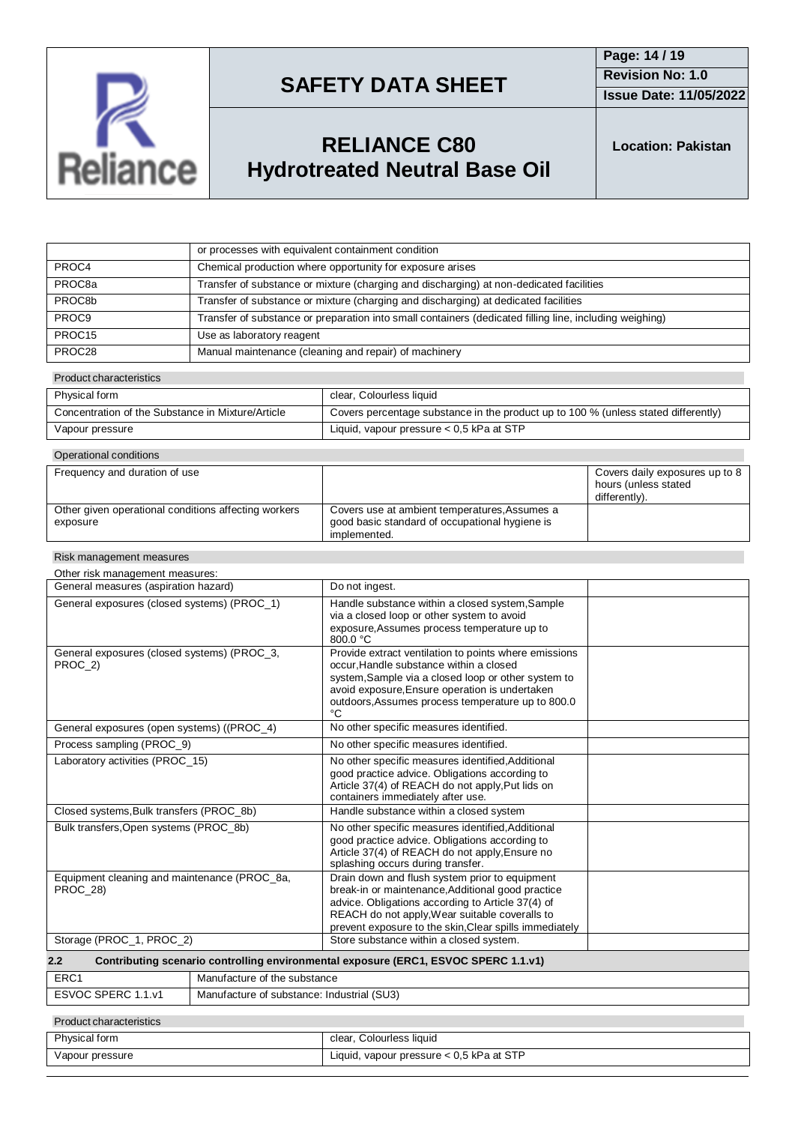

**Issue Date: 11/05/2022**

# **RELIANCE C80 Hydrotreated Neutral Base Oil**

**Location: Pakistan**

|                    | or processes with equivalent containment condition                                                      |
|--------------------|---------------------------------------------------------------------------------------------------------|
| PROC4              | Chemical production where opportunity for exposure arises                                               |
| PROC8a             | Transfer of substance or mixture (charging and discharging) at non-dedicated facilities                 |
| PROC8b             | Transfer of substance or mixture (charging and discharging) at dedicated facilities                     |
| PROC <sub>9</sub>  | Transfer of substance or preparation into small containers (dedicated filling line, including weighing) |
| PROC <sub>15</sub> | Use as laboratory reagent                                                                               |
| PROC28             | Manual maintenance (cleaning and repair) of machinery                                                   |

#### Product characteristics

| Physical form                                     | clear, Colourless liquid                                                           |
|---------------------------------------------------|------------------------------------------------------------------------------------|
| Concentration of the Substance in Mixture/Article | Covers percentage substance in the product up to 100 % (unless stated differently) |
| Vapour pressure                                   | Liquid, vapour pressure $< 0.5$ kPa at STP                                         |

| Operational conditions                                           |                                                                                                                 |                                                                         |  |  |  |
|------------------------------------------------------------------|-----------------------------------------------------------------------------------------------------------------|-------------------------------------------------------------------------|--|--|--|
| Frequency and duration of use                                    |                                                                                                                 | Covers daily exposures up to 8<br>hours (unless stated<br>differently). |  |  |  |
| Other given operational conditions affecting workers<br>exposure | Covers use at ambient temperatures, Assumes a<br>good basic standard of occupational hygiene is<br>implemented. |                                                                         |  |  |  |

#### Risk management measures

| Other risk management measures:                                                            |                                                                                                                                                                                                                                                                      |  |  |
|--------------------------------------------------------------------------------------------|----------------------------------------------------------------------------------------------------------------------------------------------------------------------------------------------------------------------------------------------------------------------|--|--|
| General measures (aspiration hazard)                                                       | Do not ingest.                                                                                                                                                                                                                                                       |  |  |
| General exposures (closed systems) (PROC_1)                                                | Handle substance within a closed system, Sample<br>via a closed loop or other system to avoid<br>exposure, Assumes process temperature up to<br>$800.0 \text{ °C}$                                                                                                   |  |  |
| General exposures (closed systems) (PROC_3,<br>PROC 2)                                     | Provide extract ventilation to points where emissions<br>occur, Handle substance within a closed<br>system, Sample via a closed loop or other system to<br>avoid exposure, Ensure operation is undertaken<br>outdoors, Assumes process temperature up to 800.0<br>°C |  |  |
| General exposures (open systems) ((PROC_4)                                                 | No other specific measures identified.                                                                                                                                                                                                                               |  |  |
| Process sampling (PROC_9)                                                                  | No other specific measures identified.                                                                                                                                                                                                                               |  |  |
| Laboratory activities (PROC 15)                                                            | No other specific measures identified, Additional<br>good practice advice. Obligations according to<br>Article 37(4) of REACH do not apply, Put lids on<br>containers immediately after use.                                                                         |  |  |
| Closed systems, Bulk transfers (PROC 8b)                                                   | Handle substance within a closed system                                                                                                                                                                                                                              |  |  |
| Bulk transfers, Open systems (PROC_8b)                                                     | No other specific measures identified, Additional<br>good practice advice. Obligations according to<br>Article 37(4) of REACH do not apply, Ensure no<br>splashing occurs during transfer.                                                                           |  |  |
| Equipment cleaning and maintenance (PROC 8a,<br><b>PROC 28)</b>                            | Drain down and flush system prior to equipment<br>break-in or maintenance, Additional good practice<br>advice. Obligations according to Article 37(4) of<br>REACH do not apply, Wear suitable coveralls to<br>prevent exposure to the skin, Clear spills immediately |  |  |
| Storage (PROC_1, PROC_2)                                                                   | Store substance within a closed system.                                                                                                                                                                                                                              |  |  |
| Contributing scenario controlling environmental exposure (ERC1, ESVOC SPERC 1.1.v1)<br>2.2 |                                                                                                                                                                                                                                                                      |  |  |
| ED <sub>C</sub> <sub>1</sub><br>Monufacture of the qubetance                               |                                                                                                                                                                                                                                                                      |  |  |

| ERC <sup>.</sup>                             | Manufacture of the substance               |
|----------------------------------------------|--------------------------------------------|
| <b>ESVOC SPERC</b><br>. . 1 . v <sup>-</sup> | Manufacture of substance: Industrial (SU3) |
|                                              |                                            |

#### Product characteristics

| Physical form   | clear, Colourless liquid                   |
|-----------------|--------------------------------------------|
| Vapour pressure | Liquid, vapour pressure $< 0.5$ kPa at STP |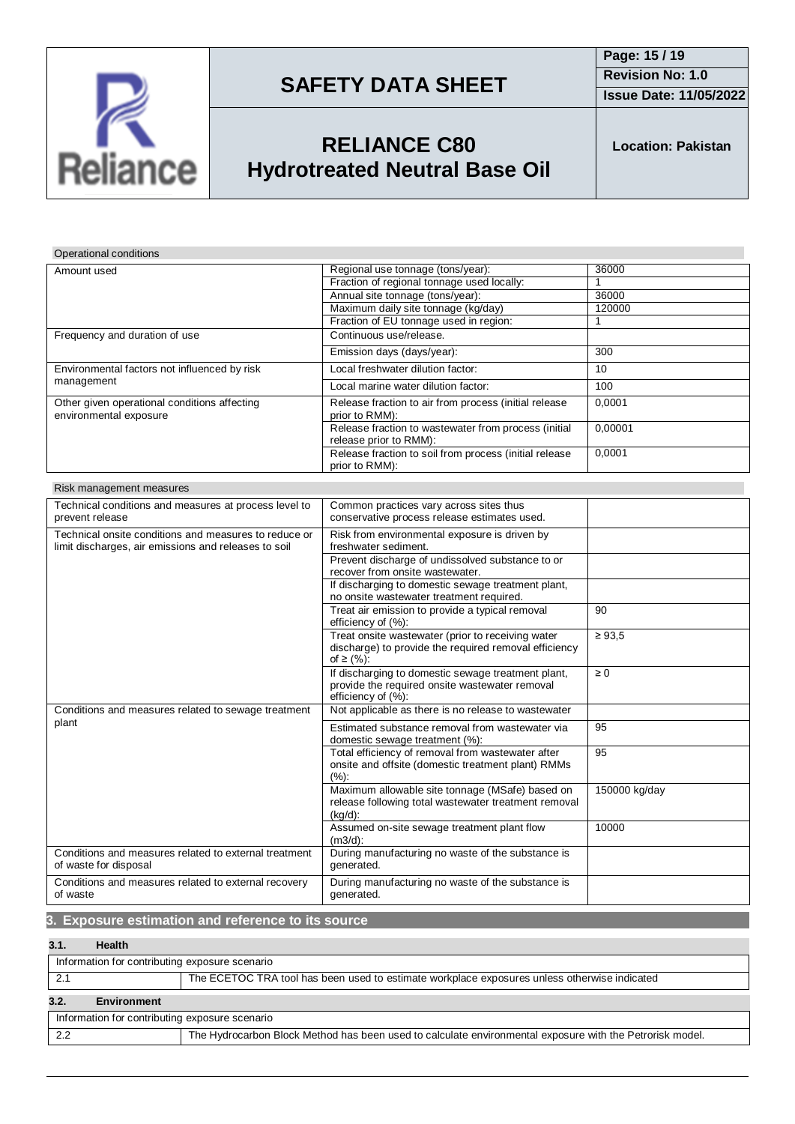

**Issue Date: 11/05/2022**

# **RELIANCE C80 Hydrotreated Neutral Base Oil**

**Location: Pakistan**

### Operational conditions

| Amount used                                                            | Regional use tonnage (tons/year):                                              | 36000   |
|------------------------------------------------------------------------|--------------------------------------------------------------------------------|---------|
|                                                                        | Fraction of regional tonnage used locally:                                     |         |
|                                                                        | Annual site tonnage (tons/year):                                               | 36000   |
|                                                                        | Maximum daily site tonnage (kg/day)                                            | 120000  |
|                                                                        | Fraction of EU tonnage used in region:                                         |         |
| Frequency and duration of use                                          | Continuous use/release.                                                        |         |
|                                                                        | Emission days (days/year):                                                     | 300     |
| Environmental factors not influenced by risk<br>management             | Local freshwater dilution factor:                                              | 10      |
|                                                                        | Local marine water dilution factor:                                            | 100     |
| Other given operational conditions affecting<br>environmental exposure | Release fraction to air from process (initial release<br>prior to RMM):        | 0.0001  |
|                                                                        | Release fraction to wastewater from process (initial<br>release prior to RMM): | 0,00001 |
|                                                                        | Release fraction to soil from process (initial release<br>prior to RMM):       | 0,0001  |

| Technical conditions and measures at process level to | Common practices vary across sites thus               |               |
|-------------------------------------------------------|-------------------------------------------------------|---------------|
| prevent release                                       | conservative process release estimates used.          |               |
| Technical onsite conditions and measures to reduce or | Risk from environmental exposure is driven by         |               |
| limit discharges, air emissions and releases to soil  | freshwater sediment.                                  |               |
|                                                       | Prevent discharge of undissolved substance to or      |               |
|                                                       | recover from onsite wastewater.                       |               |
|                                                       | If discharging to domestic sewage treatment plant,    |               |
|                                                       | no onsite wastewater treatment required.              |               |
|                                                       | Treat air emission to provide a typical removal       | 90            |
|                                                       | efficiency of (%):                                    |               |
|                                                       | Treat onsite wastewater (prior to receiving water     | $\geq 93.5$   |
|                                                       | discharge) to provide the required removal efficiency |               |
|                                                       | of ≥ $(%):$                                           |               |
|                                                       | If discharging to domestic sewage treatment plant,    | $\geq 0$      |
|                                                       | provide the required onsite wastewater removal        |               |
|                                                       | efficiency of (%):                                    |               |
| Conditions and measures related to sewage treatment   | Not applicable as there is no release to wastewater   |               |
| plant                                                 | Estimated substance removal from wastewater via       | 95            |
|                                                       | domestic sewage treatment (%):                        |               |
|                                                       | Total efficiency of removal from wastewater after     | 95            |
|                                                       | onsite and offsite (domestic treatment plant) RMMs    |               |
|                                                       | (%):                                                  |               |
|                                                       | Maximum allowable site tonnage (MSafe) based on       | 150000 kg/day |
|                                                       | release following total wastewater treatment removal  |               |
|                                                       | $(kq/d)$ :                                            |               |
|                                                       | Assumed on-site sewage treatment plant flow           | 10000         |
|                                                       | $(m3/d)$ :                                            |               |
| Conditions and measures related to external treatment | During manufacturing no waste of the substance is     |               |
| of waste for disposal                                 | generated.                                            |               |
| Conditions and measures related to external recovery  | During manufacturing no waste of the substance is     |               |
| of waste                                              | generated.                                            |               |

### **3. Exposure estimation and reference to its source**

### **3.1. Health**

| Information for contributing exposure scenario                                                                  |  |  |  |
|-----------------------------------------------------------------------------------------------------------------|--|--|--|
| The ECETOC TRA tool has been used to estimate workplace exposures unless otherwise indicated                    |  |  |  |
| 3.2.<br><b>Environment</b>                                                                                      |  |  |  |
| Information for contributing exposure scenario                                                                  |  |  |  |
| The Hydrocarbon Block Method has been used to calculate environmental exposure with the Petrorisk model.<br>2.2 |  |  |  |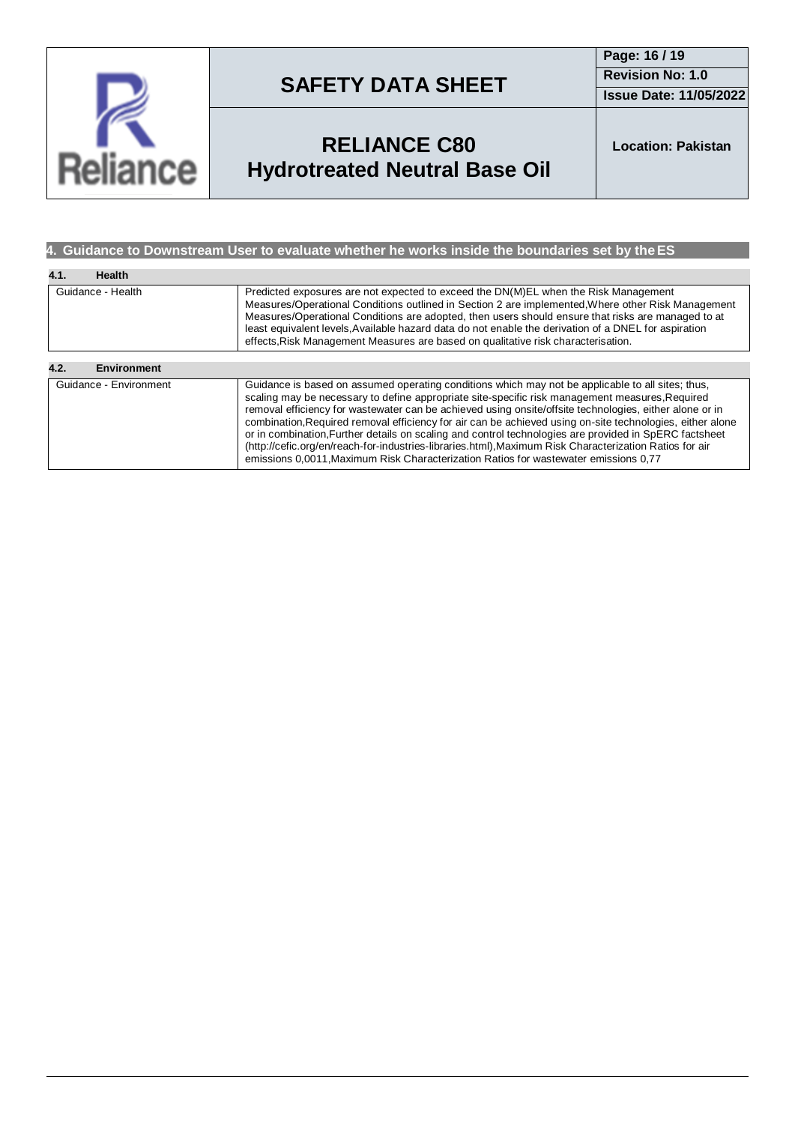

**Page: 16 / 19 Revision No: 1.0 Issue Date: 11/05/2022**

# **RELIANCE C80 Hydrotreated Neutral Base Oil**

**Location: Pakistan**

### **4. Guidance to Downstream User to evaluate whether he works inside the boundaries set by theES**

| 4.1.<br><b>Health</b>      |                                                                                                                                                                                                                                                                                                                                                                                                                                                                                                                                                                                                                                                                                                                                           |  |
|----------------------------|-------------------------------------------------------------------------------------------------------------------------------------------------------------------------------------------------------------------------------------------------------------------------------------------------------------------------------------------------------------------------------------------------------------------------------------------------------------------------------------------------------------------------------------------------------------------------------------------------------------------------------------------------------------------------------------------------------------------------------------------|--|
| Guidance - Health          | Predicted exposures are not expected to exceed the DN(M)EL when the Risk Management<br>Measures/Operational Conditions outlined in Section 2 are implemented, Where other Risk Management<br>Measures/Operational Conditions are adopted, then users should ensure that risks are managed to at<br>least equivalent levels. Available hazard data do not enable the derivation of a DNEL for aspiration<br>effects, Risk Management Measures are based on qualitative risk characterisation.                                                                                                                                                                                                                                              |  |
|                            |                                                                                                                                                                                                                                                                                                                                                                                                                                                                                                                                                                                                                                                                                                                                           |  |
| 4.2.<br><b>Environment</b> |                                                                                                                                                                                                                                                                                                                                                                                                                                                                                                                                                                                                                                                                                                                                           |  |
| Guidance - Environment     | Guidance is based on assumed operating conditions which may not be applicable to all sites; thus,<br>scaling may be necessary to define appropriate site-specific risk management measures, Required<br>removal efficiency for wastewater can be achieved using onsite/offsite technologies, either alone or in<br>combination, Required removal efficiency for air can be achieved using on-site technologies, either alone<br>or in combination. Further details on scaling and control technologies are provided in SpERC factsheet<br>(http://cefic.org/en/reach-for-industries-libraries.html), Maximum Risk Characterization Ratios for air<br>emissions 0,0011, Maximum Risk Characterization Ratios for wastewater emissions 0,77 |  |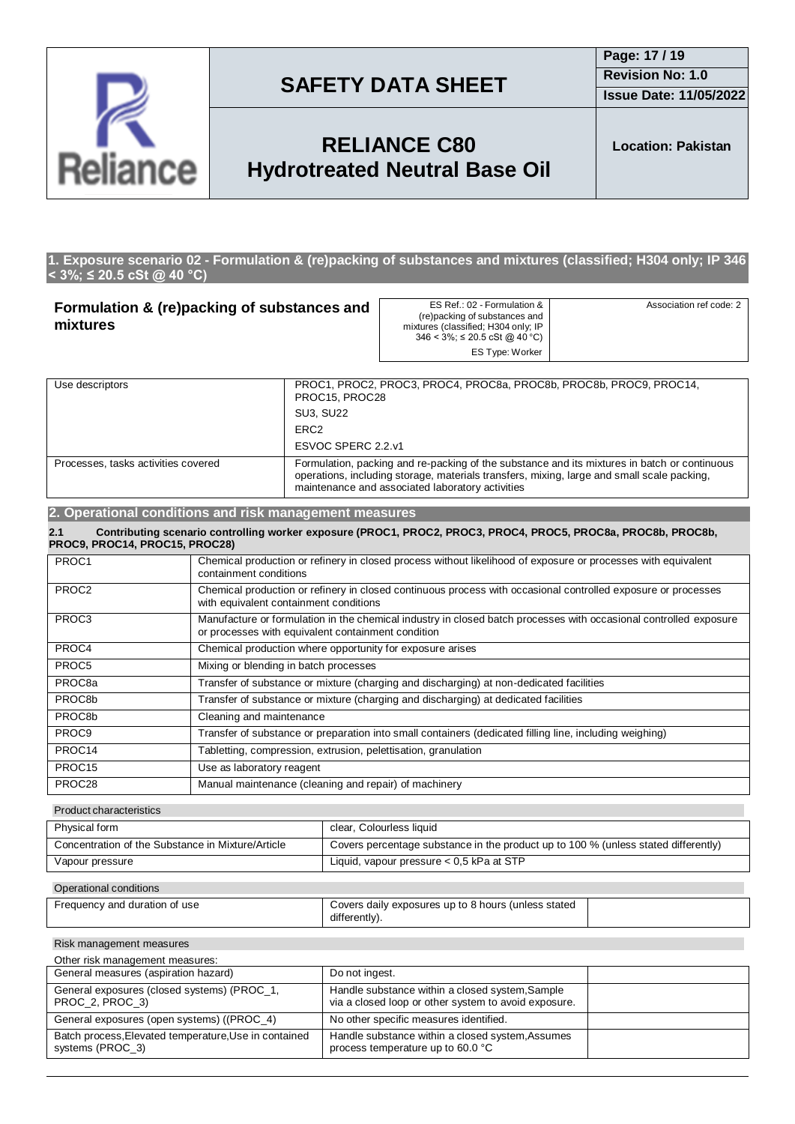

**Issue Date: 11/05/2022**

## **RELIANCE C80 Hydrotreated Neutral Base Oil**

**Location: Pakistan**

#### **1. Exposure scenario 02 - Formulation & (re)packing of substances and mixtures (classified; H304 only; IP 346 < 3%; ≤ 20.5 cSt @ 40 °C)**

| Formulation & (re)packing of substances and<br>mixtures |                                                                                                                                                                                                                                                                                       | ES Ref.: 02 - Formulation &<br>(re)packing of substances and<br>mixtures (classified; H304 only; IP<br>$346 < 3\%$ ; $\leq 20.5$ cSt @ 40 °C)<br><b>ES Type: Worker</b> | Association ref code: 2                                                                                       |  |
|---------------------------------------------------------|---------------------------------------------------------------------------------------------------------------------------------------------------------------------------------------------------------------------------------------------------------------------------------------|-------------------------------------------------------------------------------------------------------------------------------------------------------------------------|---------------------------------------------------------------------------------------------------------------|--|
| Use descriptors                                         |                                                                                                                                                                                                                                                                                       | PROC15, PROC28                                                                                                                                                          | PROC1, PROC2, PROC3, PROC4, PROC8a, PROC8b, PROC8b, PROC9, PROC14,                                            |  |
|                                                         |                                                                                                                                                                                                                                                                                       | <b>SU3, SU22</b>                                                                                                                                                        |                                                                                                               |  |
| ERC <sub>2</sub>                                        |                                                                                                                                                                                                                                                                                       |                                                                                                                                                                         |                                                                                                               |  |
| ESVOC SPERC 2.2.v1                                      |                                                                                                                                                                                                                                                                                       |                                                                                                                                                                         |                                                                                                               |  |
|                                                         | Processes, tasks activities covered<br>Formulation, packing and re-packing of the substance and its mixtures in batch or continuous<br>operations, including storage, materials transfers, mixing, large and small scale packing,<br>maintenance and associated laboratory activities |                                                                                                                                                                         |                                                                                                               |  |
| 2. Operational conditions and risk management measures  |                                                                                                                                                                                                                                                                                       |                                                                                                                                                                         |                                                                                                               |  |
| 2.1<br>PROC9, PROC14, PROC15, PROC28)                   |                                                                                                                                                                                                                                                                                       |                                                                                                                                                                         | Contributing scenario controlling worker exposure (PROC1, PROC2, PROC3, PROC4, PROC5, PROC8a, PROC8b, PROC8b, |  |
| PROC1                                                   | Chemical production or refinery in closed process without likelihood of exposure or processes with equivalent<br>containment conditions                                                                                                                                               |                                                                                                                                                                         |                                                                                                               |  |
| PROC <sub>2</sub>                                       | Chemical production or refinery in closed continuous process with occasional controlled exposure or processes<br>with equivalent containment conditions                                                                                                                               |                                                                                                                                                                         |                                                                                                               |  |
| PROC <sub>3</sub>                                       | Manufacture or formulation in the chemical industry in closed batch processes with occasional controlled exposure<br>or processes with equivalent containment condition                                                                                                               |                                                                                                                                                                         |                                                                                                               |  |
| PROC4                                                   | Chemical production where opportunity for exposure arises                                                                                                                                                                                                                             |                                                                                                                                                                         |                                                                                                               |  |
| PROC5                                                   | Mixing or blending in batch processes                                                                                                                                                                                                                                                 |                                                                                                                                                                         |                                                                                                               |  |
| PROC <sub>8a</sub>                                      | Transfer of substance or mixture (charging and discharging) at non-dedicated facilities                                                                                                                                                                                               |                                                                                                                                                                         |                                                                                                               |  |

PROC8b Transfer of substance or mixture (charging and discharging) at dedicated facilities PROC8b Cleaning and maintenance PROC9 Transfer of substance or preparation into small containers (dedicated filling line, including weighing) PROC14 Tabletting, compression, extrusion, pelettisation, granulation PROC15 Use as laboratory reagent PROC28 Manual maintenance (cleaning and repair) of machinery

Product characteristics

| Physical form                                     | clear, Colourless liquid                                                           |
|---------------------------------------------------|------------------------------------------------------------------------------------|
| Concentration of the Substance in Mixture/Article | Covers percentage substance in the product up to 100 % (unless stated differently) |
| Vapour pressure                                   | Liquid, vapour pressure $< 0.5$ kPa at STP                                         |
|                                                   |                                                                                    |

#### Operational conditions

| Frequency and duration of use | Covers daily exposures up to 8 hours (unless stated |  |
|-------------------------------|-----------------------------------------------------|--|
|                               | differently).                                       |  |

Risk management measures

| Other risk management measures:                                           |                                                                                                         |  |
|---------------------------------------------------------------------------|---------------------------------------------------------------------------------------------------------|--|
| General measures (aspiration hazard)                                      | Do not ingest.                                                                                          |  |
| General exposures (closed systems) (PROC_1,<br>PROC_2, PROC_3)            | Handle substance within a closed system, Sample<br>via a closed loop or other system to avoid exposure. |  |
| General exposures (open systems) ((PROC_4)                                | No other specific measures identified.                                                                  |  |
| Batch process, Elevated temperature, Use in contained<br>systems (PROC 3) | Handle substance within a closed system, Assumes<br>process temperature up to 60.0 °C                   |  |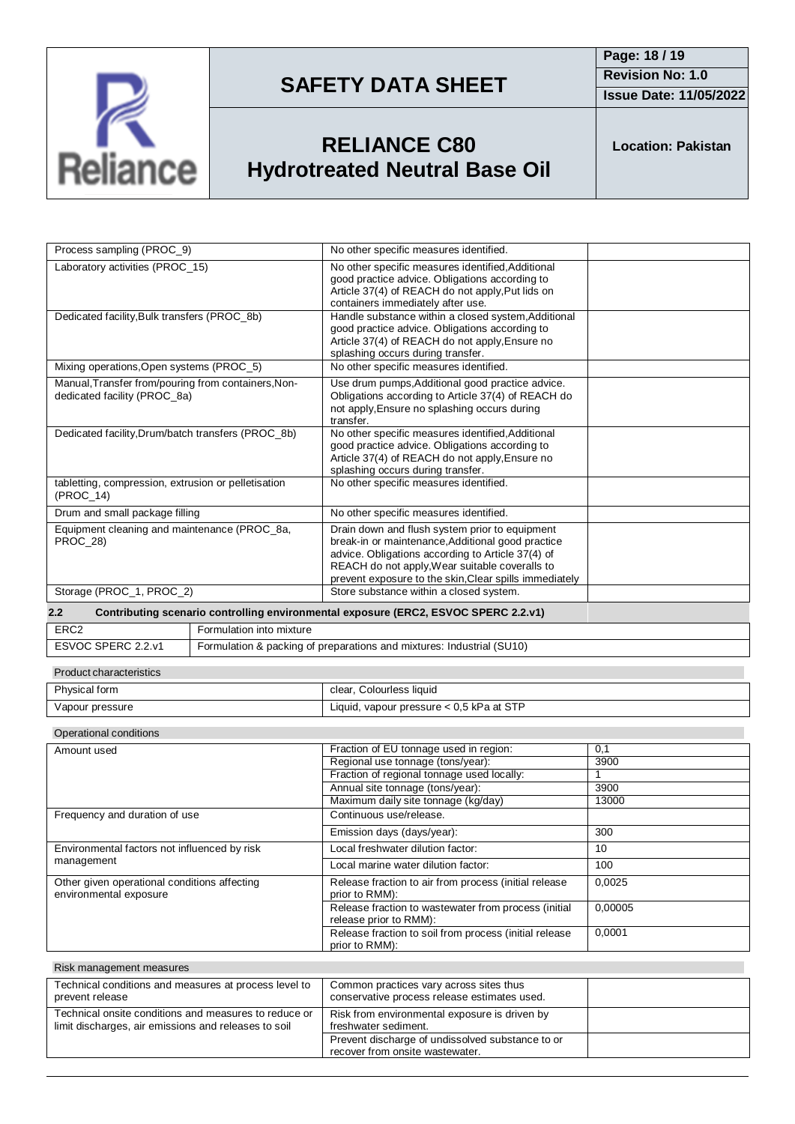

**Issue Date: 11/05/2022**

# **RELIANCE C80 Hydrotreated Neutral Base Oil**

**Location: Pakistan**

| Process sampling (PROC_9)                                                           |                                                                       | No other specific measures identified.                                                                                                                                                                                                                               |                |
|-------------------------------------------------------------------------------------|-----------------------------------------------------------------------|----------------------------------------------------------------------------------------------------------------------------------------------------------------------------------------------------------------------------------------------------------------------|----------------|
| Laboratory activities (PROC 15)                                                     |                                                                       | No other specific measures identified, Additional<br>good practice advice. Obligations according to<br>Article 37(4) of REACH do not apply, Put lids on<br>containers immediately after use.                                                                         |                |
| Dedicated facility, Bulk transfers (PROC_8b)                                        |                                                                       | Handle substance within a closed system, Additional<br>good practice advice. Obligations according to<br>Article 37(4) of REACH do not apply, Ensure no<br>splashing occurs during transfer.                                                                         |                |
| Mixing operations, Open systems (PROC_5)                                            |                                                                       | No other specific measures identified.                                                                                                                                                                                                                               |                |
| Manual, Transfer from/pouring from containers, Non-<br>dedicated facility (PROC 8a) |                                                                       | Use drum pumps, Additional good practice advice.<br>Obligations according to Article 37(4) of REACH do<br>not apply, Ensure no splashing occurs during<br>transfer.                                                                                                  |                |
| Dedicated facility, Drum/batch transfers (PROC_8b)                                  |                                                                       | No other specific measures identified, Additional<br>good practice advice. Obligations according to<br>Article 37(4) of REACH do not apply, Ensure no<br>splashing occurs during transfer.                                                                           |                |
| tabletting, compression, extrusion or pelletisation<br>(PROC 14)                    |                                                                       | No other specific measures identified.                                                                                                                                                                                                                               |                |
| Drum and small package filling                                                      |                                                                       | No other specific measures identified.                                                                                                                                                                                                                               |                |
| Equipment cleaning and maintenance (PROC_8a,<br>PROC_28)                            |                                                                       | Drain down and flush system prior to equipment<br>break-in or maintenance, Additional good practice<br>advice. Obligations according to Article 37(4) of<br>REACH do not apply, Wear suitable coveralls to<br>prevent exposure to the skin, Clear spills immediately |                |
| Storage (PROC_1, PROC_2)                                                            |                                                                       | Store substance within a closed system.                                                                                                                                                                                                                              |                |
| 2.2                                                                                 |                                                                       | Contributing scenario controlling environmental exposure (ERC2, ESVOC SPERC 2.2.v1)                                                                                                                                                                                  |                |
| ERC <sub>2</sub>                                                                    | Formulation into mixture                                              |                                                                                                                                                                                                                                                                      |                |
| ESVOC SPERC 2.2.v1                                                                  | Formulation & packing of preparations and mixtures: Industrial (SU10) |                                                                                                                                                                                                                                                                      |                |
| Product characteristics                                                             |                                                                       |                                                                                                                                                                                                                                                                      |                |
| Physical form                                                                       |                                                                       | clear, Colourless liquid                                                                                                                                                                                                                                             |                |
| Vapour pressure                                                                     |                                                                       | Liquid, vapour pressure < 0.5 kPa at STP                                                                                                                                                                                                                             |                |
| Operational conditions                                                              |                                                                       |                                                                                                                                                                                                                                                                      |                |
| Amount used                                                                         |                                                                       | Fraction of EU tonnage used in region:                                                                                                                                                                                                                               | 0,1            |
|                                                                                     |                                                                       | Regional use tonnage (tons/year):                                                                                                                                                                                                                                    | 3900           |
|                                                                                     |                                                                       | Erection of regional tennesse used locally                                                                                                                                                                                                                           | $\overline{A}$ |

|                                                                        |                                                                                | ., .    |
|------------------------------------------------------------------------|--------------------------------------------------------------------------------|---------|
|                                                                        | Regional use tonnage (tons/year):                                              | 3900    |
|                                                                        | Fraction of regional tonnage used locally:                                     |         |
|                                                                        | Annual site tonnage (tons/year):                                               | 3900    |
|                                                                        | Maximum daily site tonnage (kg/day)                                            | 13000   |
| Frequency and duration of use                                          | Continuous use/release.                                                        |         |
|                                                                        | Emission days (days/year):                                                     | 300     |
| Environmental factors not influenced by risk                           | Local freshwater dilution factor:                                              | 10      |
| management                                                             | Local marine water dilution factor:                                            | 100     |
| Other given operational conditions affecting<br>environmental exposure | Release fraction to air from process (initial release<br>prior to RMM):        | 0.0025  |
|                                                                        | Release fraction to wastewater from process (initial<br>release prior to RMM): | 0,00005 |
|                                                                        | Release fraction to soil from process (initial release<br>prior to RMM):       | 0,0001  |

| Risk management measures                                                                                      |                                                                                         |  |
|---------------------------------------------------------------------------------------------------------------|-----------------------------------------------------------------------------------------|--|
| Technical conditions and measures at process level to<br>prevent release                                      | Common practices vary across sites thus<br>conservative process release estimates used. |  |
| Technical onsite conditions and measures to reduce or<br>limit discharges, air emissions and releases to soil | Risk from environmental exposure is driven by<br>freshwater sediment.                   |  |
|                                                                                                               | Prevent discharge of undissolved substance to or<br>recover from onsite wastewater.     |  |